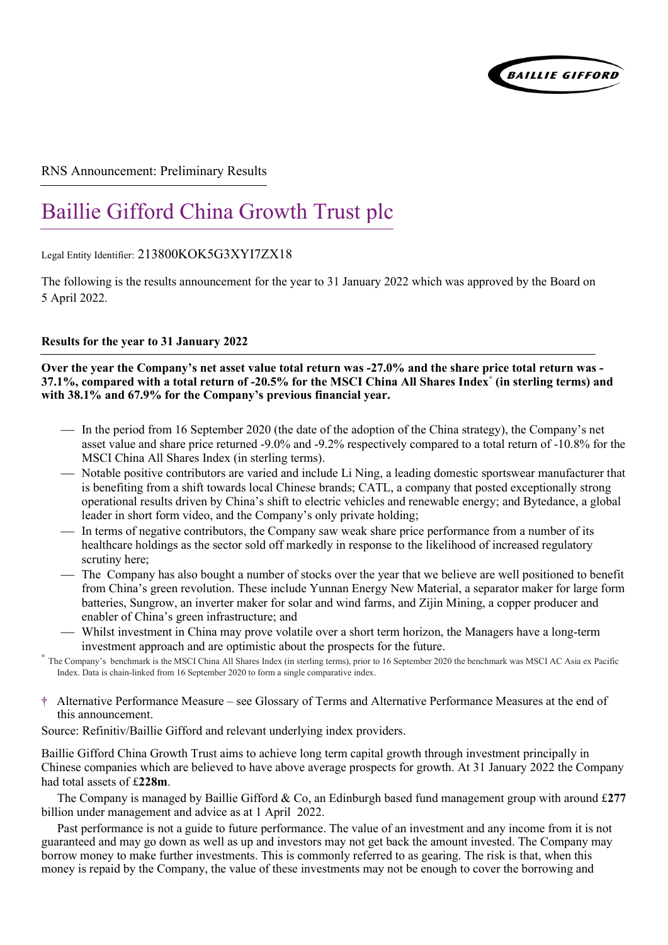

#### RNS Announcement: Preliminary Results

# Baillie Gifford China Growth Trust plc

Legal Entity Identifier: 213800KOK5G3XYI7ZX18

The following is the results announcement for the year to 31 January 2022 which was approved by the Board on 5 April 2022.

#### **Results for the year to 31 January 2022**

**Over the year the Company's net asset value total return was -27.0% and the share price total return was - 37.1%, compared with a total return of -20.5% for the MSCI China All Shares Index\* (in sterling terms) and with 38.1% and 67.9% for the Company's previous financial year.** 

- In the period from 16 September 2020 (the date of the adoption of the China strategy), the Company's net asset value and share price returned -9.0% and -9.2% respectively compared to a total return of -10.8% for the MSCI China All Shares Index (in sterling terms).
- Notable positive contributors are varied and include Li Ning, a leading domestic sportswear manufacturer that is benefiting from a shift towards local Chinese brands; CATL, a company that posted exceptionally strong operational results driven by China's shift to electric vehicles and renewable energy; and Bytedance, a global leader in short form video, and the Company's only private holding;
- In terms of negative contributors, the Company saw weak share price performance from a number of its healthcare holdings as the sector sold off markedly in response to the likelihood of increased regulatory scrutiny here;
- The Company has also bought a number of stocks over the year that we believe are well positioned to benefit from China's green revolution. These include Yunnan Energy New Material, a separator maker for large form batteries, Sungrow, an inverter maker for solar and wind farms, and Zijin Mining, a copper producer and enabler of China's green infrastructure; and
- Whilst investment in China may prove volatile over a short term horizon, the Managers have a long-term investment approach and are optimistic about the prospects for the future.
- \* The Company's benchmark is the MSCI China All Shares Index (in sterling terms), prior to 16 September 2020 the benchmark was MSCI AC Asia ex Pacific Index. Data is chain-linked from 16 September 2020 to form a single comparative index.
- **†** Alternative Performance Measure see Glossary of Terms and Alternative Performance Measures at the end of this announcement.

Source: Refinitiv/Baillie Gifford and relevant underlying index providers.

Baillie Gifford China Growth Trust aims to achieve long term capital growth through investment principally in Chinese companies which are believed to have above average prospects for growth. At 31 January 2022 the Company had total assets of £**228m**.

The Company is managed by Baillie Gifford & Co, an Edinburgh based fund management group with around £**277** billion under management and advice as at 1 April 2022.

Past performance is not a guide to future performance. The value of an investment and any income from it is not guaranteed and may go down as well as up and investors may not get back the amount invested. The Company may borrow money to make further investments. This is commonly referred to as gearing. The risk is that, when this money is repaid by the Company, the value of these investments may not be enough to cover the borrowing and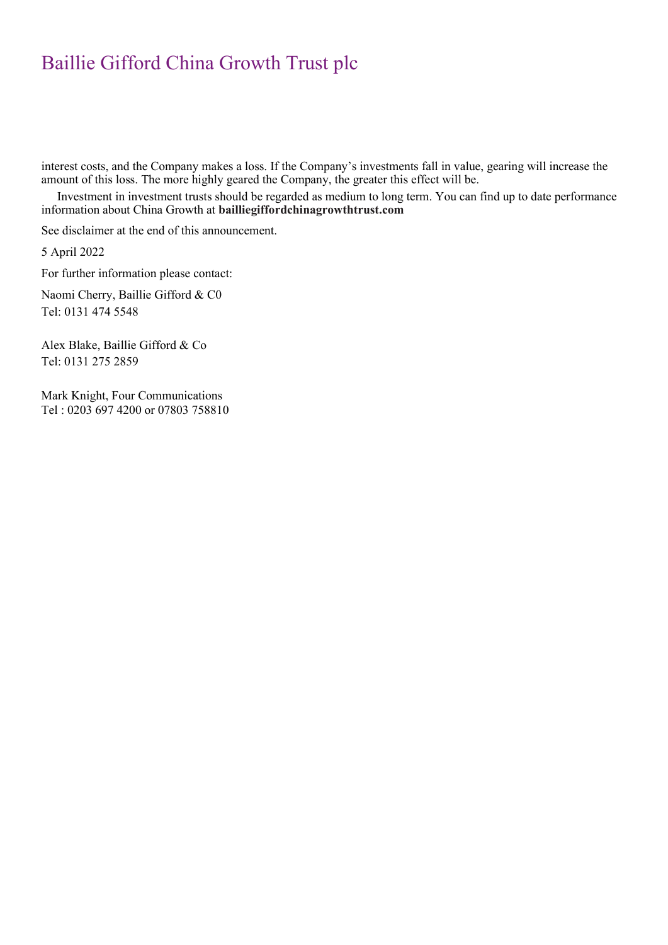interest costs, and the Company makes a loss. If the Company's investments fall in value, gearing will increase the amount of this loss. The more highly geared the Company, the greater this effect will be.

Investment in investment trusts should be regarded as medium to long term. You can find up to date performance information about China Growth at **bailliegiffordchinagrowthtrust.com**

See disclaimer at the end of this announcement.

5 April 2022

For further information please contact:

Naomi Cherry, Baillie Gifford & C0 Tel: 0131 474 5548

Alex Blake, Baillie Gifford & Co Tel: 0131 275 2859

Mark Knight, Four Communications Tel : 0203 697 4200 or 07803 758810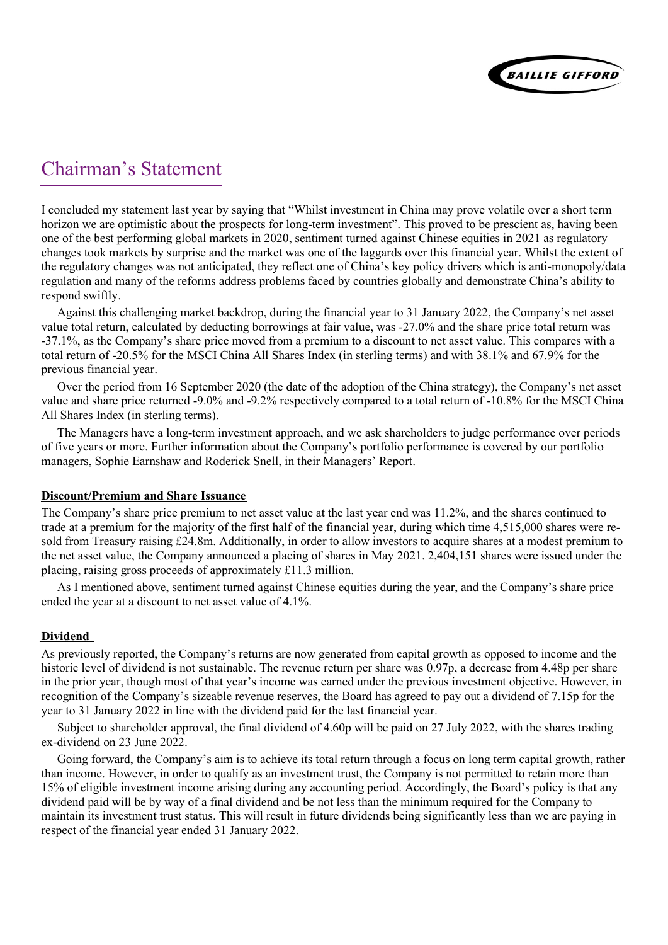

### Chairman's Statement

I concluded my statement last year by saying that "Whilst investment in China may prove volatile over a short term horizon we are optimistic about the prospects for long-term investment". This proved to be prescient as, having been one of the best performing global markets in 2020, sentiment turned against Chinese equities in 2021 as regulatory changes took markets by surprise and the market was one of the laggards over this financial year. Whilst the extent of the regulatory changes was not anticipated, they reflect one of China's key policy drivers which is anti-monopoly/data regulation and many of the reforms address problems faced by countries globally and demonstrate China's ability to respond swiftly.

Against this challenging market backdrop, during the financial year to 31 January 2022, the Company's net asset value total return, calculated by deducting borrowings at fair value, was -27.0% and the share price total return was -37.1%, as the Company's share price moved from a premium to a discount to net asset value. This compares with a total return of -20.5% for the MSCI China All Shares Index (in sterling terms) and with 38.1% and 67.9% for the previous financial year.

Over the period from 16 September 2020 (the date of the adoption of the China strategy), the Company's net asset value and share price returned -9.0% and -9.2% respectively compared to a total return of -10.8% for the MSCI China All Shares Index (in sterling terms).

The Managers have a long-term investment approach, and we ask shareholders to judge performance over periods of five years or more. Further information about the Company's portfolio performance is covered by our portfolio managers, Sophie Earnshaw and Roderick Snell, in their Managers' Report.

#### **Discount/Premium and Share Issuance**

The Company's share price premium to net asset value at the last year end was 11.2%, and the shares continued to trade at a premium for the majority of the first half of the financial year, during which time 4,515,000 shares were resold from Treasury raising £24.8m. Additionally, in order to allow investors to acquire shares at a modest premium to the net asset value, the Company announced a placing of shares in May 2021. 2,404,151 shares were issued under the placing, raising gross proceeds of approximately £11.3 million.

As I mentioned above, sentiment turned against Chinese equities during the year, and the Company's share price ended the year at a discount to net asset value of 4.1%.

#### **Dividend**

As previously reported, the Company's returns are now generated from capital growth as opposed to income and the historic level of dividend is not sustainable. The revenue return per share was 0.97p, a decrease from 4.48p per share in the prior year, though most of that year's income was earned under the previous investment objective. However, in recognition of the Company's sizeable revenue reserves, the Board has agreed to pay out a dividend of 7.15p for the year to 31 January 2022 in line with the dividend paid for the last financial year.

Subject to shareholder approval, the final dividend of 4.60p will be paid on 27 July 2022, with the shares trading ex-dividend on 23 June 2022.

Going forward, the Company's aim is to achieve its total return through a focus on long term capital growth, rather than income. However, in order to qualify as an investment trust, the Company is not permitted to retain more than 15% of eligible investment income arising during any accounting period. Accordingly, the Board's policy is that any dividend paid will be by way of a final dividend and be not less than the minimum required for the Company to maintain its investment trust status. This will result in future dividends being significantly less than we are paying in respect of the financial year ended 31 January 2022.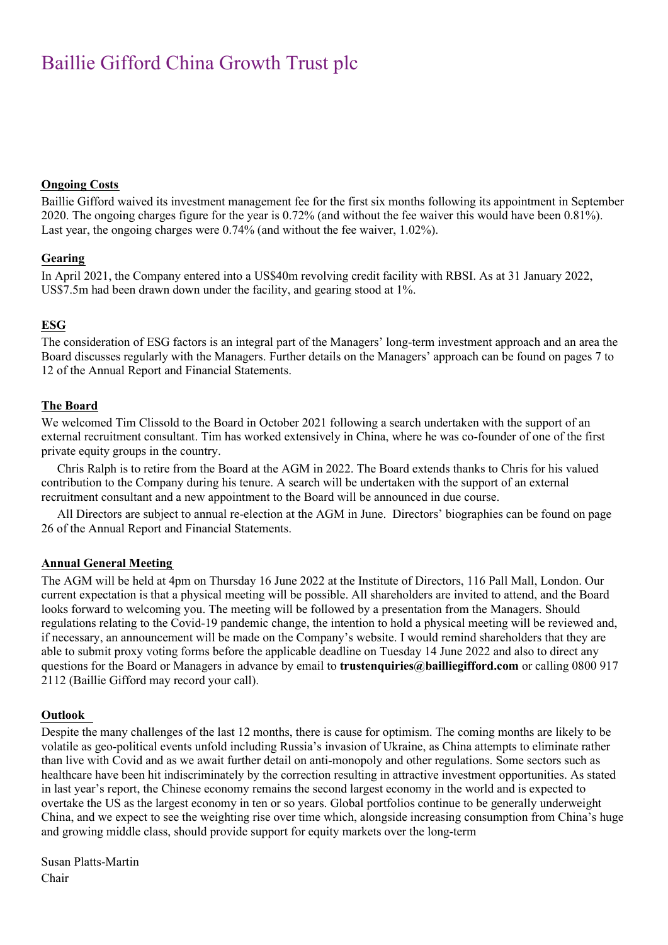#### **Ongoing Costs**

Baillie Gifford waived its investment management fee for the first six months following its appointment in September 2020. The ongoing charges figure for the year is 0.72% (and without the fee waiver this would have been 0.81%). Last year, the ongoing charges were 0.74% (and without the fee waiver, 1.02%).

#### **Gearing**

In April 2021, the Company entered into a US\$40m revolving credit facility with RBSI. As at 31 January 2022, US\$7.5m had been drawn down under the facility, and gearing stood at 1%.

#### **ESG**

The consideration of ESG factors is an integral part of the Managers' long-term investment approach and an area the Board discusses regularly with the Managers. Further details on the Managers' approach can be found on pages 7 to 12 of the Annual Report and Financial Statements.

#### **The Board**

We welcomed Tim Clissold to the Board in October 2021 following a search undertaken with the support of an external recruitment consultant. Tim has worked extensively in China, where he was co-founder of one of the first private equity groups in the country.

Chris Ralph is to retire from the Board at the AGM in 2022. The Board extends thanks to Chris for his valued contribution to the Company during his tenure. A search will be undertaken with the support of an external recruitment consultant and a new appointment to the Board will be announced in due course.

All Directors are subject to annual re-election at the AGM in June. Directors' biographies can be found on page 26 of the Annual Report and Financial Statements.

#### **Annual General Meeting**

The AGM will be held at 4pm on Thursday 16 June 2022 at the Institute of Directors, 116 Pall Mall, London. Our current expectation is that a physical meeting will be possible. All shareholders are invited to attend, and the Board looks forward to welcoming you. The meeting will be followed by a presentation from the Managers. Should regulations relating to the Covid-19 pandemic change, the intention to hold a physical meeting will be reviewed and, if necessary, an announcement will be made on the Company's website. I would remind shareholders that they are able to submit proxy voting forms before the applicable deadline on Tuesday 14 June 2022 and also to direct any questions for the Board or Managers in advance by email to **trustenquiries@bailliegifford.com** or calling 0800 917 2112 (Baillie Gifford may record your call).

#### **Outlook**

Despite the many challenges of the last 12 months, there is cause for optimism. The coming months are likely to be volatile as geo-political events unfold including Russia's invasion of Ukraine, as China attempts to eliminate rather than live with Covid and as we await further detail on anti-monopoly and other regulations. Some sectors such as healthcare have been hit indiscriminately by the correction resulting in attractive investment opportunities. As stated in last year's report, the Chinese economy remains the second largest economy in the world and is expected to overtake the US as the largest economy in ten or so years. Global portfolios continue to be generally underweight China, and we expect to see the weighting rise over time which, alongside increasing consumption from China's huge and growing middle class, should provide support for equity markets over the long-term

Susan Platts-Martin Chair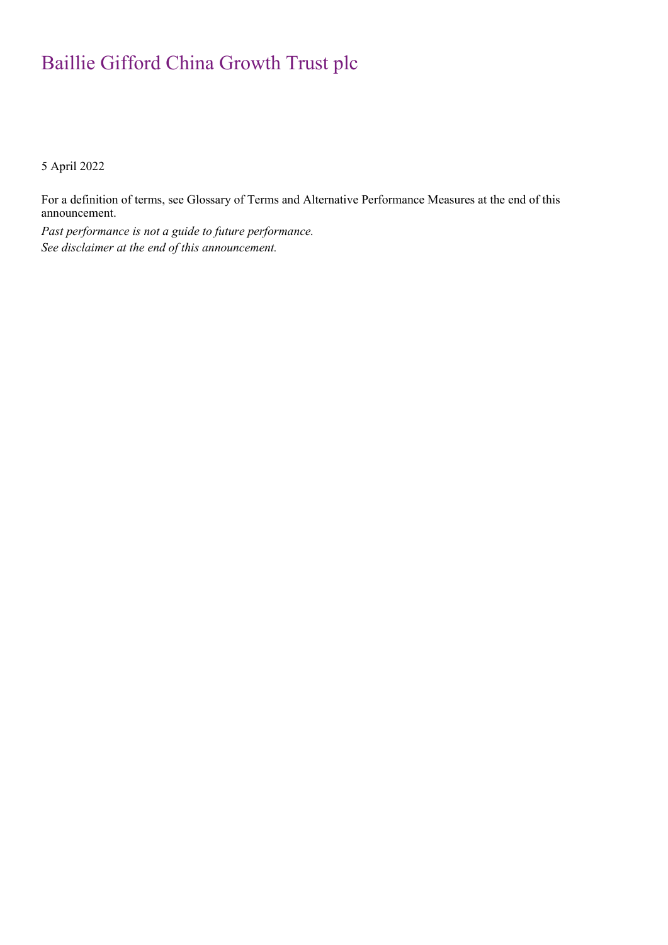5 April 2022

For a definition of terms, see Glossary of Terms and Alternative Performance Measures at the end of this announcement.

*Past performance is not a guide to future performance. See disclaimer at the end of this announcement.*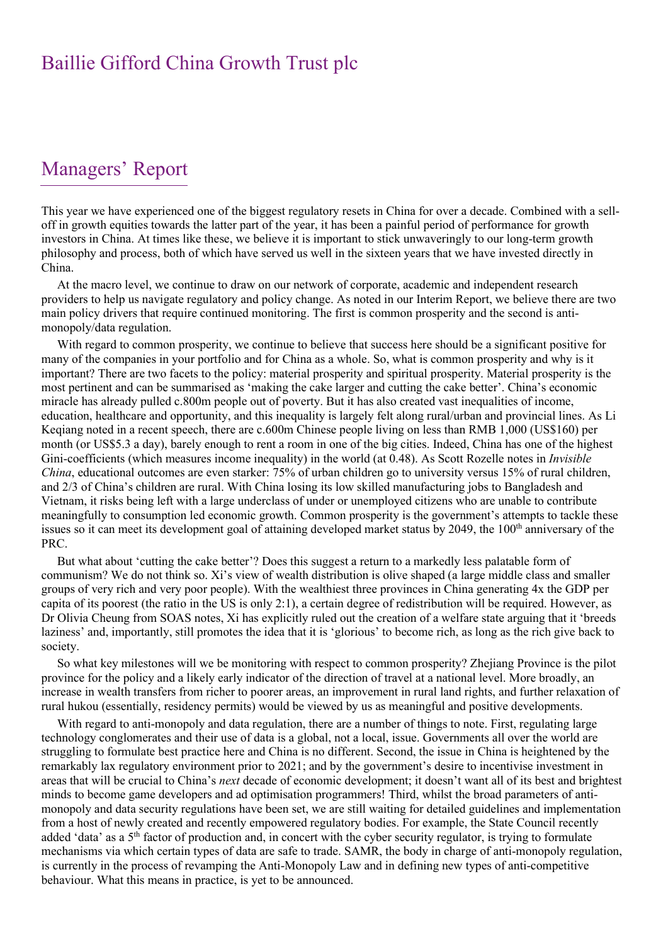### Managers' Report

This year we have experienced one of the biggest regulatory resets in China for over a decade. Combined with a selloff in growth equities towards the latter part of the year, it has been a painful period of performance for growth investors in China. At times like these, we believe it is important to stick unwaveringly to our long-term growth philosophy and process, both of which have served us well in the sixteen years that we have invested directly in China.

At the macro level, we continue to draw on our network of corporate, academic and independent research providers to help us navigate regulatory and policy change. As noted in our Interim Report, we believe there are two main policy drivers that require continued monitoring. The first is common prosperity and the second is antimonopoly/data regulation.

With regard to common prosperity, we continue to believe that success here should be a significant positive for many of the companies in your portfolio and for China as a whole. So, what is common prosperity and why is it important? There are two facets to the policy: material prosperity and spiritual prosperity. Material prosperity is the most pertinent and can be summarised as 'making the cake larger and cutting the cake better'. China's economic miracle has already pulled c.800m people out of poverty. But it has also created vast inequalities of income, education, healthcare and opportunity, and this inequality is largely felt along rural/urban and provincial lines. As Li Keqiang noted in a recent speech, there are c.600m Chinese people living on less than RMB 1,000 (US\$160) per month (or US\$5.3 a day), barely enough to rent a room in one of the big cities. Indeed, China has one of the highest Gini-coefficients (which measures income inequality) in the world (at 0.48). As Scott Rozelle notes in *Invisible China*, educational outcomes are even starker: 75% of urban children go to university versus 15% of rural children, and 2/3 of China's children are rural. With China losing its low skilled manufacturing jobs to Bangladesh and Vietnam, it risks being left with a large underclass of under or unemployed citizens who are unable to contribute meaningfully to consumption led economic growth. Common prosperity is the government's attempts to tackle these issues so it can meet its development goal of attaining developed market status by 2049, the  $100<sup>th</sup>$  anniversary of the PRC.

But what about 'cutting the cake better'? Does this suggest a return to a markedly less palatable form of communism? We do not think so. Xi's view of wealth distribution is olive shaped (a large middle class and smaller groups of very rich and very poor people). With the wealthiest three provinces in China generating 4x the GDP per capita of its poorest (the ratio in the US is only 2:1), a certain degree of redistribution will be required. However, as Dr Olivia Cheung from SOAS notes, Xi has explicitly ruled out the creation of a welfare state arguing that it 'breeds laziness' and, importantly, still promotes the idea that it is 'glorious' to become rich, as long as the rich give back to society.

So what key milestones will we be monitoring with respect to common prosperity? Zhejiang Province is the pilot province for the policy and a likely early indicator of the direction of travel at a national level. More broadly, an increase in wealth transfers from richer to poorer areas, an improvement in rural land rights, and further relaxation of rural hukou (essentially, residency permits) would be viewed by us as meaningful and positive developments.

With regard to anti-monopoly and data regulation, there are a number of things to note. First, regulating large technology conglomerates and their use of data is a global, not a local, issue. Governments all over the world are struggling to formulate best practice here and China is no different. Second, the issue in China is heightened by the remarkably lax regulatory environment prior to 2021; and by the government's desire to incentivise investment in areas that will be crucial to China's *next* decade of economic development; it doesn't want all of its best and brightest minds to become game developers and ad optimisation programmers! Third, whilst the broad parameters of antimonopoly and data security regulations have been set, we are still waiting for detailed guidelines and implementation from a host of newly created and recently empowered regulatory bodies. For example, the State Council recently added 'data' as a 5<sup>th</sup> factor of production and, in concert with the cyber security regulator, is trying to formulate mechanisms via which certain types of data are safe to trade. SAMR, the body in charge of anti-monopoly regulation, is currently in the process of revamping the Anti-Monopoly Law and in defining new types of anti-competitive behaviour. What this means in practice, is yet to be announced.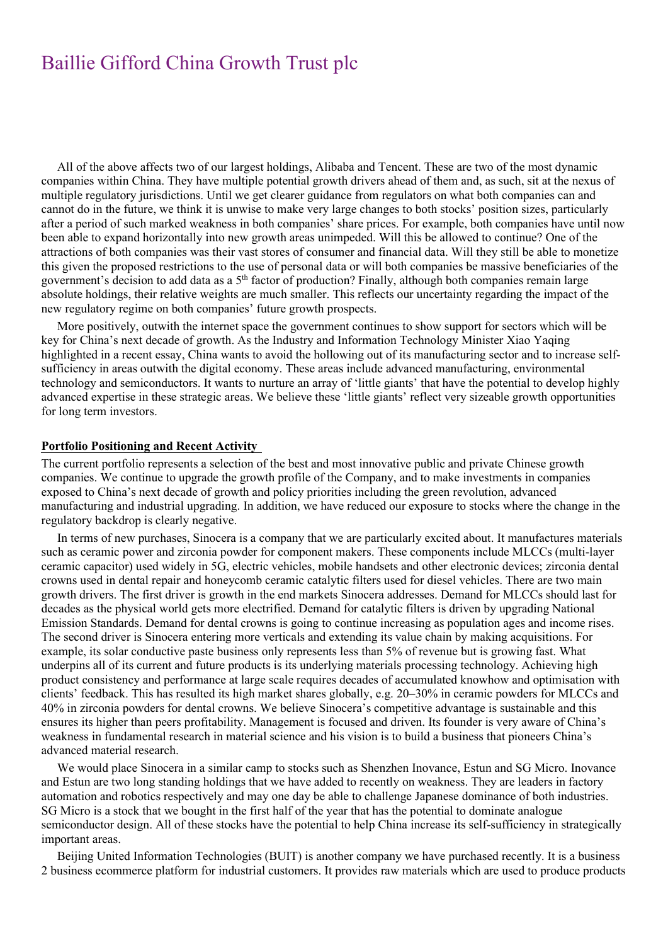All of the above affects two of our largest holdings, Alibaba and Tencent. These are two of the most dynamic companies within China. They have multiple potential growth drivers ahead of them and, as such, sit at the nexus of multiple regulatory jurisdictions. Until we get clearer guidance from regulators on what both companies can and cannot do in the future, we think it is unwise to make very large changes to both stocks' position sizes, particularly after a period of such marked weakness in both companies' share prices. For example, both companies have until now been able to expand horizontally into new growth areas unimpeded. Will this be allowed to continue? One of the attractions of both companies was their vast stores of consumer and financial data. Will they still be able to monetize this given the proposed restrictions to the use of personal data or will both companies be massive beneficiaries of the government's decision to add data as a 5th factor of production? Finally, although both companies remain large absolute holdings, their relative weights are much smaller. This reflects our uncertainty regarding the impact of the new regulatory regime on both companies' future growth prospects.

More positively, outwith the internet space the government continues to show support for sectors which will be key for China's next decade of growth. As the Industry and Information Technology Minister Xiao Yaqing highlighted in a recent essay, China wants to avoid the hollowing out of its manufacturing sector and to increase selfsufficiency in areas outwith the digital economy. These areas include advanced manufacturing, environmental technology and semiconductors. It wants to nurture an array of 'little giants' that have the potential to develop highly advanced expertise in these strategic areas. We believe these 'little giants' reflect very sizeable growth opportunities for long term investors.

#### **Portfolio Positioning and Recent Activity**

The current portfolio represents a selection of the best and most innovative public and private Chinese growth companies. We continue to upgrade the growth profile of the Company, and to make investments in companies exposed to China's next decade of growth and policy priorities including the green revolution, advanced manufacturing and industrial upgrading. In addition, we have reduced our exposure to stocks where the change in the regulatory backdrop is clearly negative.

In terms of new purchases, Sinocera is a company that we are particularly excited about. It manufactures materials such as ceramic power and zirconia powder for component makers. These components include MLCCs (multi-layer ceramic capacitor) used widely in 5G, electric vehicles, mobile handsets and other electronic devices; zirconia dental crowns used in dental repair and honeycomb ceramic catalytic filters used for diesel vehicles. There are two main growth drivers. The first driver is growth in the end markets Sinocera addresses. Demand for MLCCs should last for decades as the physical world gets more electrified. Demand for catalytic filters is driven by upgrading National Emission Standards. Demand for dental crowns is going to continue increasing as population ages and income rises. The second driver is Sinocera entering more verticals and extending its value chain by making acquisitions. For example, its solar conductive paste business only represents less than 5% of revenue but is growing fast. What underpins all of its current and future products is its underlying materials processing technology. Achieving high product consistency and performance at large scale requires decades of accumulated knowhow and optimisation with clients' feedback. This has resulted its high market shares globally, e.g. 20–30% in ceramic powders for MLCCs and 40% in zirconia powders for dental crowns. We believe Sinocera's competitive advantage is sustainable and this ensures its higher than peers profitability. Management is focused and driven. Its founder is very aware of China's weakness in fundamental research in material science and his vision is to build a business that pioneers China's advanced material research.

We would place Sinocera in a similar camp to stocks such as Shenzhen Inovance, Estun and SG Micro. Inovance and Estun are two long standing holdings that we have added to recently on weakness. They are leaders in factory automation and robotics respectively and may one day be able to challenge Japanese dominance of both industries. SG Micro is a stock that we bought in the first half of the year that has the potential to dominate analogue semiconductor design. All of these stocks have the potential to help China increase its self-sufficiency in strategically important areas.

Beijing United Information Technologies (BUIT) is another company we have purchased recently. It is a business 2 business ecommerce platform for industrial customers. It provides raw materials which are used to produce products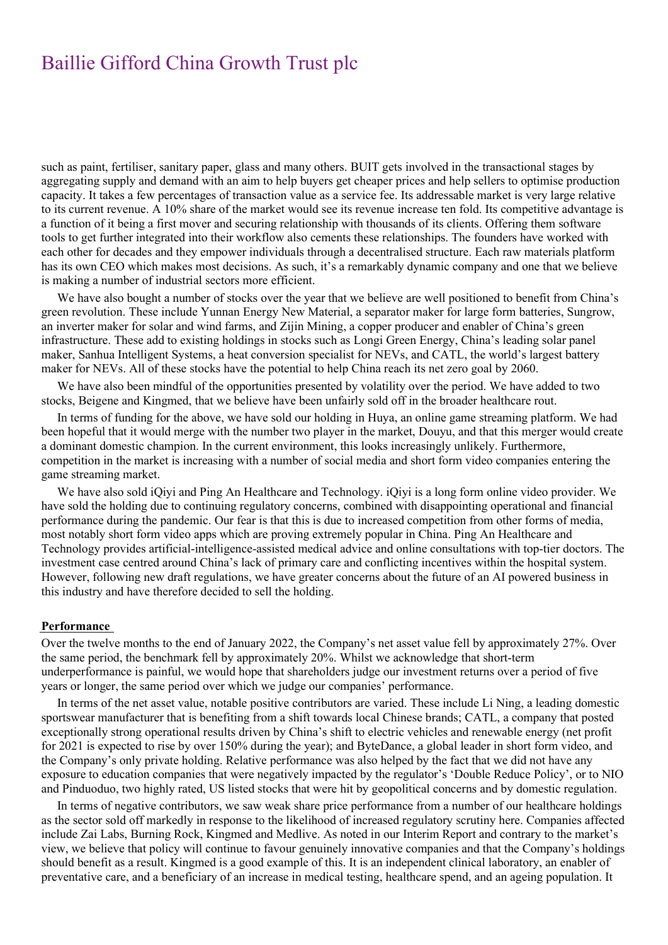such as paint, fertiliser, sanitary paper, glass and many others. BUIT gets involved in the transactional stages by aggregating supply and demand with an aim to help buyers get cheaper prices and help sellers to optimise production capacity. It takes a few percentages of transaction value as a service fee. Its addressable market is very large relative to its current revenue. A 10% share of the market would see its revenue increase ten fold. Its competitive advantage is a function of it being a first mover and securing relationship with thousands of its clients. Offering them software tools to get further integrated into their workflow also cements these relationships. The founders have worked with each other for decades and they empower individuals through a decentralised structure. Each raw materials platform has its own CEO which makes most decisions. As such, it's a remarkably dynamic company and one that we believe is making a number of industrial sectors more efficient.

We have also bought a number of stocks over the year that we believe are well positioned to benefit from China's green revolution. These include Yunnan Energy New Material, a separator maker for large form batteries, Sungrow, an inverter maker for solar and wind farms, and Zijin Mining, a copper producer and enabler of China's green infrastructure. These add to existing holdings in stocks such as Longi Green Energy, China's leading solar panel maker, Sanhua Intelligent Systems, a heat conversion specialist for NEVs, and CATL, the world's largest battery maker for NEVs. All of these stocks have the potential to help China reach its net zero goal by 2060.

We have also been mindful of the opportunities presented by volatility over the period. We have added to two stocks, Beigene and Kingmed, that we believe have been unfairly sold off in the broader healthcare rout.

In terms of funding for the above, we have sold our holding in Huya, an online game streaming platform. We had been hopeful that it would merge with the number two player in the market, Douyu, and that this merger would create a dominant domestic champion. In the current environment, this looks increasingly unlikely. Furthermore, competition in the market is increasing with a number of social media and short form video companies entering the game streaming market.

We have also sold iQiyi and Ping An Healthcare and Technology. iQiyi is a long form online video provider. We have sold the holding due to continuing regulatory concerns, combined with disappointing operational and financial performance during the pandemic. Our fear is that this is due to increased competition from other forms of media, most notably short form video apps which are proving extremely popular in China. Ping An Healthcare and Technology provides artificial-intelligence-assisted medical advice and online consultations with top-tier doctors. The investment case centred around China's lack of primary care and conflicting incentives within the hospital system. However, following new draft regulations, we have greater concerns about the future of an AI powered business in this industry and have therefore decided to sell the holding.

#### **Performance**

Over the twelve months to the end of January 2022, the Company's net asset value fell by approximately 27%. Over the same period, the benchmark fell by approximately 20%. Whilst we acknowledge that short-term underperformance is painful, we would hope that shareholders judge our investment returns over a period of five years or longer, the same period over which we judge our companies' performance.

In terms of the net asset value, notable positive contributors are varied. These include Li Ning, a leading domestic sportswear manufacturer that is benefiting from a shift towards local Chinese brands; CATL, a company that posted exceptionally strong operational results driven by China's shift to electric vehicles and renewable energy (net profit for 2021 is expected to rise by over 150% during the year); and ByteDance, a global leader in short form video, and the Company's only private holding. Relative performance was also helped by the fact that we did not have any exposure to education companies that were negatively impacted by the regulator's 'Double Reduce Policy', or to NIO and Pinduoduo, two highly rated, US listed stocks that were hit by geopolitical concerns and by domestic regulation.

In terms of negative contributors, we saw weak share price performance from a number of our healthcare holdings as the sector sold off markedly in response to the likelihood of increased regulatory scrutiny here. Companies affected include Zai Labs, Burning Rock, Kingmed and Medlive. As noted in our Interim Report and contrary to the market's view, we believe that policy will continue to favour genuinely innovative companies and that the Company's holdings should benefit as a result. Kingmed is a good example of this. It is an independent clinical laboratory, an enabler of preventative care, and a beneficiary of an increase in medical testing, healthcare spend, and an ageing population. It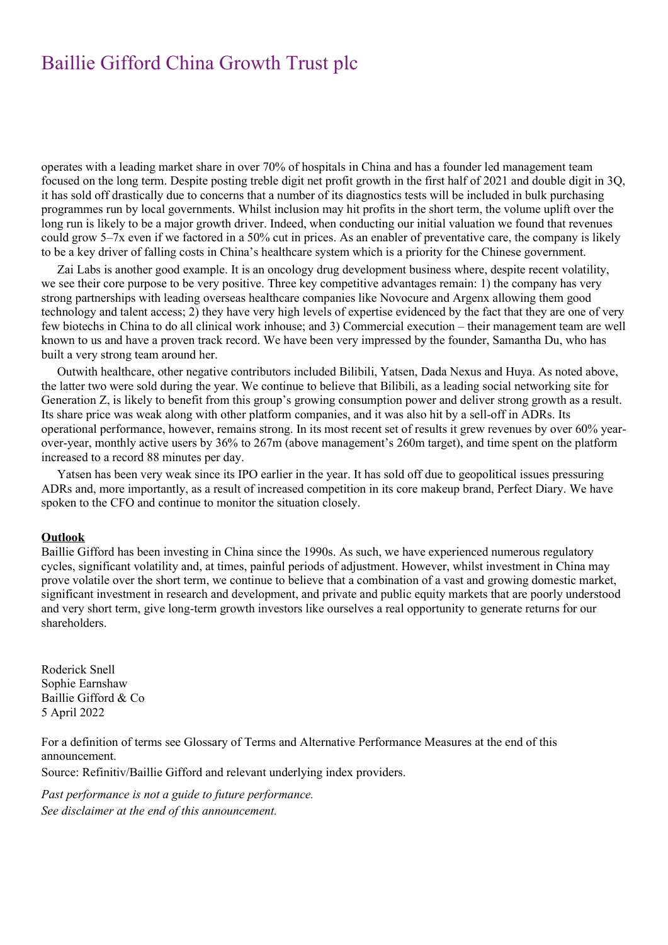operates with a leading market share in over 70% of hospitals in China and has a founder led management team focused on the long term. Despite posting treble digit net profit growth in the first half of 2021 and double digit in 3Q, it has sold off drastically due to concerns that a number of its diagnostics tests will be included in bulk purchasing programmes run by local governments. Whilst inclusion may hit profits in the short term, the volume uplift over the long run is likely to be a major growth driver. Indeed, when conducting our initial valuation we found that revenues could grow 5–7x even if we factored in a 50% cut in prices. As an enabler of preventative care, the company is likely to be a key driver of falling costs in China's healthcare system which is a priority for the Chinese government.

Zai Labs is another good example. It is an oncology drug development business where, despite recent volatility, we see their core purpose to be very positive. Three key competitive advantages remain: 1) the company has very strong partnerships with leading overseas healthcare companies like Novocure and Argenx allowing them good technology and talent access; 2) they have very high levels of expertise evidenced by the fact that they are one of very few biotechs in China to do all clinical work inhouse; and 3) Commercial execution – their management team are well known to us and have a proven track record. We have been very impressed by the founder, Samantha Du, who has built a very strong team around her.

Outwith healthcare, other negative contributors included Bilibili, Yatsen, Dada Nexus and Huya. As noted above, the latter two were sold during the year. We continue to believe that Bilibili, as a leading social networking site for Generation Z, is likely to benefit from this group's growing consumption power and deliver strong growth as a result. Its share price was weak along with other platform companies, and it was also hit by a sell-off in ADRs. Its operational performance, however, remains strong. In its most recent set of results it grew revenues by over 60% yearover-year, monthly active users by 36% to 267m (above management's 260m target), and time spent on the platform increased to a record 88 minutes per day.

Yatsen has been very weak since its IPO earlier in the year. It has sold off due to geopolitical issues pressuring ADRs and, more importantly, as a result of increased competition in its core makeup brand, Perfect Diary. We have spoken to the CFO and continue to monitor the situation closely.

#### **Outlook**

Baillie Gifford has been investing in China since the 1990s. As such, we have experienced numerous regulatory cycles, significant volatility and, at times, painful periods of adjustment. However, whilst investment in China may prove volatile over the short term, we continue to believe that a combination of a vast and growing domestic market, significant investment in research and development, and private and public equity markets that are poorly understood and very short term, give long-term growth investors like ourselves a real opportunity to generate returns for our shareholders.

Roderick Snell Sophie Earnshaw Baillie Gifford & Co 5 April 2022

For a definition of terms see Glossary of Terms and Alternative Performance Measures at the end of this announcement.

Source: Refinitiv/Baillie Gifford and relevant underlying index providers.

*Past performance is not a guide to future performance. See disclaimer at the end of this announcement.*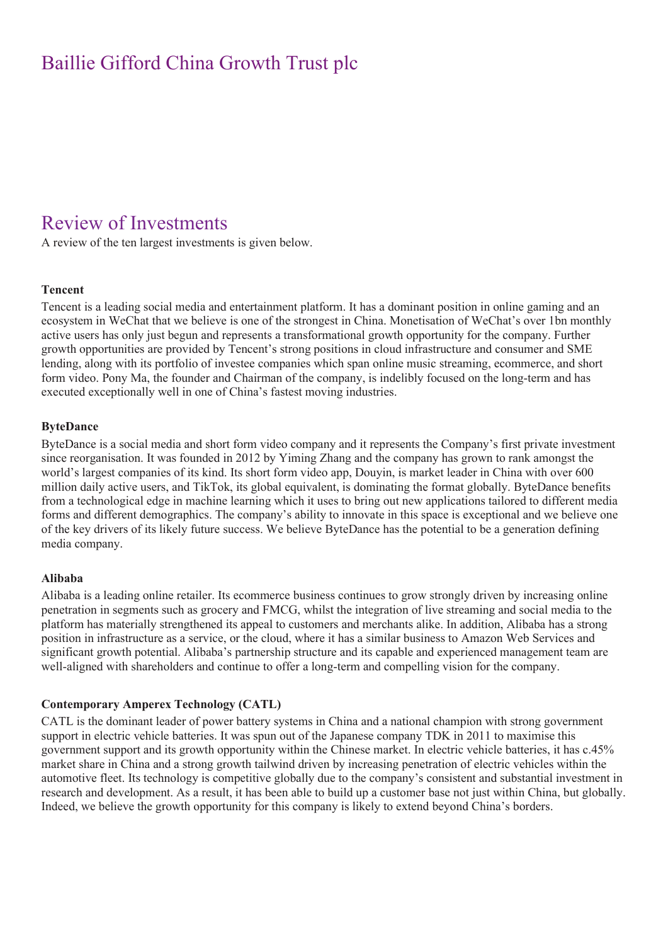### Review of Investments

A review of the ten largest investments is given below.

#### **Tencent**

Tencent is a leading social media and entertainment platform. It has a dominant position in online gaming and an ecosystem in WeChat that we believe is one of the strongest in China. Monetisation of WeChat's over 1bn monthly active users has only just begun and represents a transformational growth opportunity for the company. Further growth opportunities are provided by Tencent's strong positions in cloud infrastructure and consumer and SME lending, along with its portfolio of investee companies which span online music streaming, ecommerce, and short form video. Pony Ma, the founder and Chairman of the company, is indelibly focused on the long-term and has executed exceptionally well in one of China's fastest moving industries.

#### **ByteDance**

ByteDance is a social media and short form video company and it represents the Company's first private investment since reorganisation. It was founded in 2012 by Yiming Zhang and the company has grown to rank amongst the world's largest companies of its kind. Its short form video app, Douyin, is market leader in China with over 600 million daily active users, and TikTok, its global equivalent, is dominating the format globally. ByteDance benefits from a technological edge in machine learning which it uses to bring out new applications tailored to different media forms and different demographics. The company's ability to innovate in this space is exceptional and we believe one of the key drivers of its likely future success. We believe ByteDance has the potential to be a generation defining media company.

#### **Alibaba**

Alibaba is a leading online retailer. Its ecommerce business continues to grow strongly driven by increasing online penetration in segments such as grocery and FMCG, whilst the integration of live streaming and social media to the platform has materially strengthened its appeal to customers and merchants alike. In addition, Alibaba has a strong position in infrastructure as a service, or the cloud, where it has a similar business to Amazon Web Services and significant growth potential. Alibaba's partnership structure and its capable and experienced management team are well-aligned with shareholders and continue to offer a long-term and compelling vision for the company.

#### **Contemporary Amperex Technology (CATL)**

CATL is the dominant leader of power battery systems in China and a national champion with strong government support in electric vehicle batteries. It was spun out of the Japanese company TDK in 2011 to maximise this government support and its growth opportunity within the Chinese market. In electric vehicle batteries, it has c.45% market share in China and a strong growth tailwind driven by increasing penetration of electric vehicles within the automotive fleet. Its technology is competitive globally due to the company's consistent and substantial investment in research and development. As a result, it has been able to build up a customer base not just within China, but globally. Indeed, we believe the growth opportunity for this company is likely to extend beyond China's borders.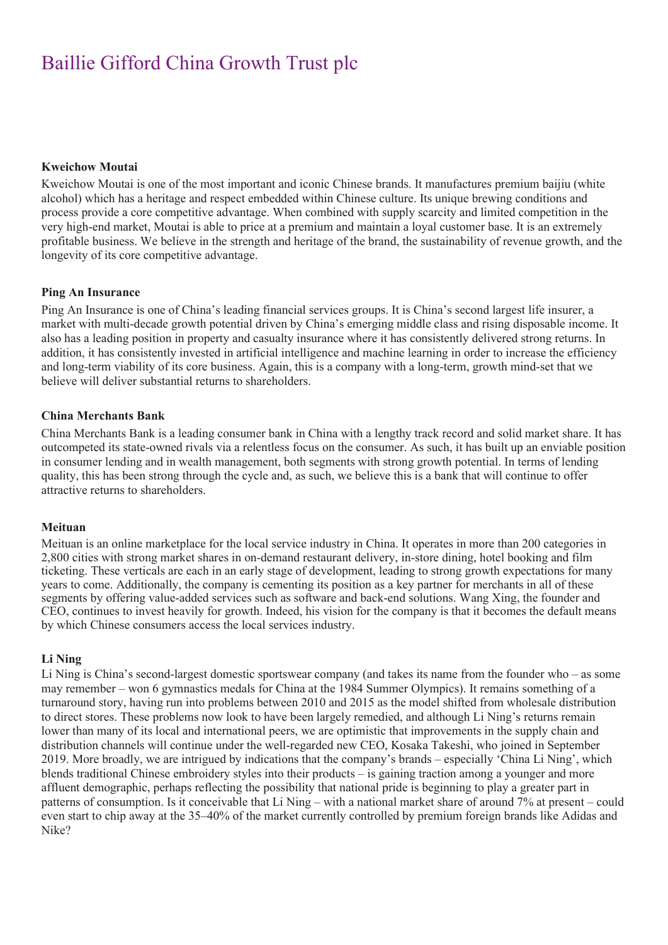#### **Kweichow Moutai**

Kweichow Moutai is one of the most important and iconic Chinese brands. It manufactures premium baijiu (white alcohol) which has a heritage and respect embedded within Chinese culture. Its unique brewing conditions and process provide a core competitive advantage. When combined with supply scarcity and limited competition in the very high-end market, Moutai is able to price at a premium and maintain a loyal customer base. It is an extremely profitable business. We believe in the strength and heritage of the brand, the sustainability of revenue growth, and the longevity of its core competitive advantage.

#### **Ping An Insurance**

Ping An Insurance is one of China's leading financial services groups. It is China's second largest life insurer, a market with multi-decade growth potential driven by China's emerging middle class and rising disposable income. It also has a leading position in property and casualty insurance where it has consistently delivered strong returns. In addition, it has consistently invested in artificial intelligence and machine learning in order to increase the efficiency and long-term viability of its core business. Again, this is a company with a long-term, growth mind-set that we believe will deliver substantial returns to shareholders.

#### **China Merchants Bank**

China Merchants Bank is a leading consumer bank in China with a lengthy track record and solid market share. It has outcompeted its state-owned rivals via a relentless focus on the consumer. As such, it has built up an enviable position in consumer lending and in wealth management, both segments with strong growth potential. In terms of lending quality, this has been strong through the cycle and, as such, we believe this is a bank that will continue to offer attractive returns to shareholders.

#### **Meituan**

Meituan is an online marketplace for the local service industry in China. It operates in more than 200 categories in 2,800 cities with strong market shares in on-demand restaurant delivery, in-store dining, hotel booking and film ticketing. These verticals are each in an early stage of development, leading to strong growth expectations for many years to come. Additionally, the company is cementing its position as a key partner for merchants in all of these segments by offering value-added services such as software and back-end solutions. Wang Xing, the founder and CEO, continues to invest heavily for growth. Indeed, his vision for the company is that it becomes the default means by which Chinese consumers access the local services industry.

#### **Li Ning**

Li Ning is China's second-largest domestic sportswear company (and takes its name from the founder who – as some may remember – won 6 gymnastics medals for China at the 1984 Summer Olympics). It remains something of a turnaround story, having run into problems between 2010 and 2015 as the model shifted from wholesale distribution to direct stores. These problems now look to have been largely remedied, and although Li Ning's returns remain lower than many of its local and international peers, we are optimistic that improvements in the supply chain and distribution channels will continue under the well-regarded new CEO, Kosaka Takeshi, who joined in September 2019. More broadly, we are intrigued by indications that the company's brands – especially 'China Li Ning', which blends traditional Chinese embroidery styles into their products – is gaining traction among a younger and more affluent demographic, perhaps reflecting the possibility that national pride is beginning to play a greater part in patterns of consumption. Is it conceivable that Li Ning – with a national market share of around 7% at present – could even start to chip away at the 35–40% of the market currently controlled by premium foreign brands like Adidas and Nike?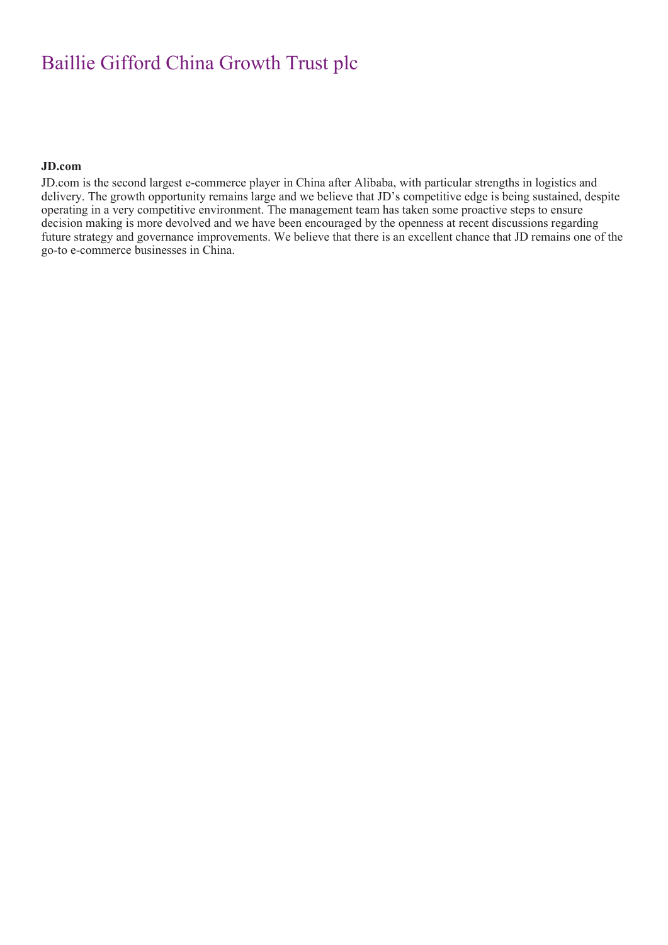#### **JD.com**

JD.com is the second largest e-commerce player in China after Alibaba, with particular strengths in logistics and delivery. The growth opportunity remains large and we believe that JD's competitive edge is being sustained, despite operating in a very competitive environment. The management team has taken some proactive steps to ensure decision making is more devolved and we have been encouraged by the openness at recent discussions regarding future strategy and governance improvements. We believe that there is an excellent chance that JD remains one of the go-to e-commerce businesses in China.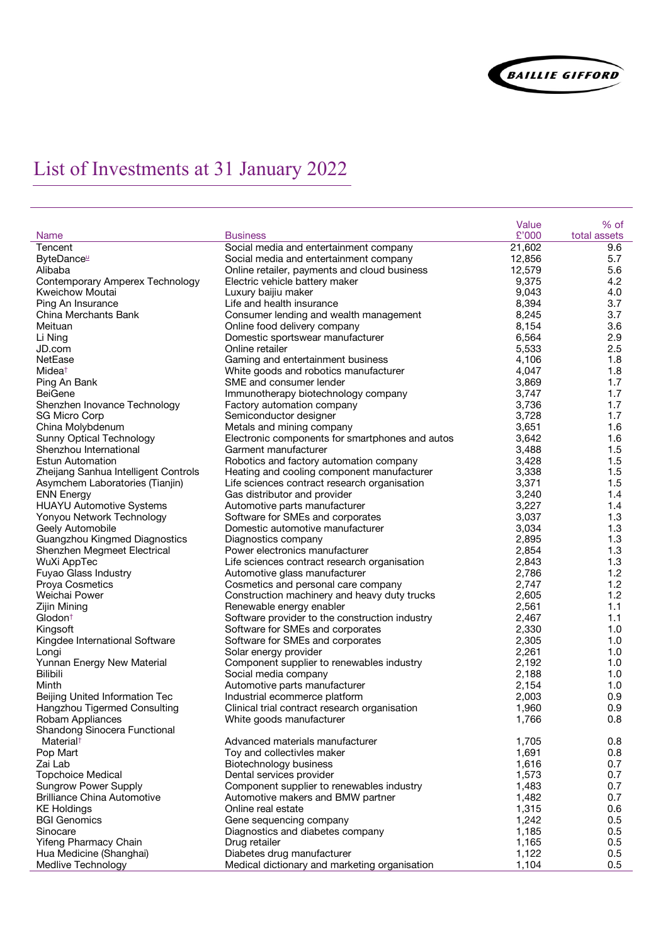

# List of Investments at 31 January 2022

|                                        |                                                 | Value  | % of         |
|----------------------------------------|-------------------------------------------------|--------|--------------|
| <b>Name</b>                            | <b>Business</b>                                 | £'000  | total assets |
| Tencent                                | Social media and entertainment company          | 21,602 | 9.6          |
| ByteDance                              | Social media and entertainment company          | 12,856 | 5.7          |
| Alibaba                                | Online retailer, payments and cloud business    | 12,579 | 5.6          |
| <b>Contemporary Amperex Technology</b> | Electric vehicle battery maker                  | 9,375  | 4.2          |
| Kweichow Moutai                        | Luxury baijiu maker                             | 9,043  | 4.0          |
| Ping An Insurance                      | Life and health insurance                       | 8,394  | 3.7          |
| China Merchants Bank                   | Consumer lending and wealth management          | 8,245  | 3.7          |
| Meituan                                | Online food delivery company                    | 8,154  | 3.6          |
| Li Ning                                | Domestic sportswear manufacturer                | 6,564  | 2.9          |
| JD.com                                 | Online retailer                                 | 5,533  | 2.5          |
| NetEase                                | Gaming and entertainment business               | 4,106  | 1.8          |
| Midea <sup>+</sup>                     | White goods and robotics manufacturer           | 4,047  | 1.8          |
| Ping An Bank                           | SME and consumer lender                         | 3,869  | 1.7          |
| <b>BeiGene</b>                         | Immunotherapy biotechnology company             | 3,747  | 1.7          |
| Shenzhen Inovance Technology           | Factory automation company                      | 3,736  | 1.7          |
| <b>SG Micro Corp</b>                   | Semiconductor designer                          | 3,728  | 1.7          |
| China Molybdenum                       | Metals and mining company                       | 3,651  | 1.6          |
| <b>Sunny Optical Technology</b>        | Electronic components for smartphones and autos | 3,642  | 1.6          |
| Shenzhou International                 | Garment manufacturer                            | 3,488  | 1.5          |
|                                        |                                                 |        |              |
| <b>Estun Automation</b>                | Robotics and factory automation company         | 3,428  | 1.5          |
| Zheijang Sanhua Intelligent Controls   | Heating and cooling component manufacturer      | 3,338  | 1.5          |
| Asymchem Laboratories (Tianjin)        | Life sciences contract research organisation    | 3,371  | 1.5          |
| <b>ENN Energy</b>                      | Gas distributor and provider                    | 3,240  | 1.4          |
| <b>HUAYU Automotive Systems</b>        | Automotive parts manufacturer                   | 3,227  | 1.4          |
| Yonyou Network Technology              | Software for SMEs and corporates                | 3,037  | 1.3          |
| Geely Automobile                       | Domestic automotive manufacturer                | 3,034  | 1.3          |
| Guangzhou Kingmed Diagnostics          | Diagnostics company                             | 2,895  | 1.3          |
| Shenzhen Megmeet Electrical            | Power electronics manufacturer                  | 2,854  | 1.3          |
| WuXi AppTec                            | Life sciences contract research organisation    | 2,843  | 1.3          |
| Fuyao Glass Industry                   | Automotive glass manufacturer                   | 2,786  | 1.2          |
| <b>Proya Cosmetics</b>                 | Cosmetics and personal care company             | 2,747  | 1.2          |
| Weichai Power                          | Construction machinery and heavy duty trucks    | 2,605  | 1.2          |
| Zijin Mining                           | Renewable energy enabler                        | 2,561  | 1.1          |
| Glodon <sup>+</sup>                    | Software provider to the construction industry  | 2,467  | 1.1          |
| Kingsoft                               | Software for SMEs and corporates                | 2,330  | 1.0          |
| Kingdee International Software         | Software for SMEs and corporates                | 2,305  | 1.0          |
| Longi                                  | Solar energy provider                           | 2,261  | 1.0          |
| Yunnan Energy New Material             | Component supplier to renewables industry       | 2,192  | 1.0          |
| <b>Bilibili</b>                        | Social media company                            | 2,188  | 1.0          |
| Minth                                  | Automotive parts manufacturer                   | 2,154  | 1.0          |
| Beijing United Information Tec         | Industrial ecommerce platform                   | 2,003  | 0.9          |
| Hangzhou Tigermed Consulting           | Clinical trial contract research organisation   | 1,960  | 0.9          |
| Robam Appliances                       | White goods manufacturer                        | 1,766  | 0.8          |
| Shandong Sinocera Functional           |                                                 |        |              |
| Material <sup>†</sup>                  | Advanced materials manufacturer                 | 1,705  | 0.8          |
| Pop Mart                               | Toy and collectivles maker                      | 1,691  | 0.8          |
| Zai Lab                                |                                                 |        | 0.7          |
|                                        | Biotechnology business                          | 1,616  |              |
| <b>Topchoice Medical</b>               | Dental services provider                        | 1,573  | 0.7          |
| <b>Sungrow Power Supply</b>            | Component supplier to renewables industry       | 1,483  | 0.7          |
| <b>Brilliance China Automotive</b>     | Automotive makers and BMW partner               | 1,482  | 0.7          |
| <b>KE Holdings</b>                     | Online real estate                              | 1,315  | 0.6          |
| <b>BGI Genomics</b>                    | Gene sequencing company                         | 1,242  | 0.5          |
| Sinocare                               | Diagnostics and diabetes company                | 1,185  | 0.5          |
| Yifeng Pharmacy Chain                  | Drug retailer                                   | 1,165  | 0.5          |
| Hua Medicine (Shanghai)                | Diabetes drug manufacturer                      | 1,122  | 0.5          |
| Medlive Technology                     | Medical dictionary and marketing organisation   | 1,104  | 0.5          |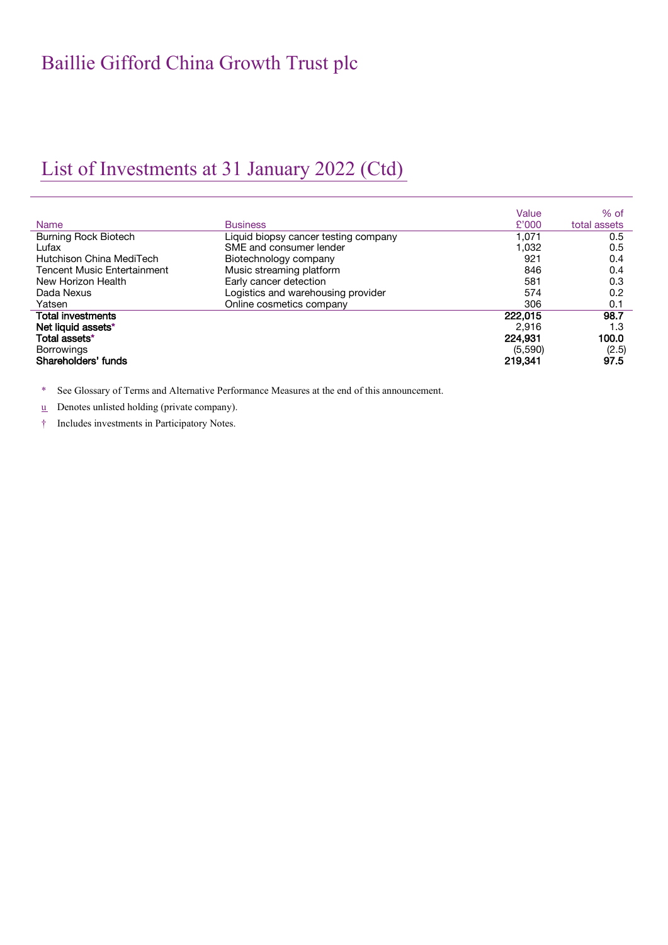## List of Investments at 31 January 2022 (Ctd)

|                                    |                                      | Value   | $%$ of       |
|------------------------------------|--------------------------------------|---------|--------------|
| <b>Name</b>                        | <b>Business</b>                      | £'000   | total assets |
| <b>Burning Rock Biotech</b>        | Liquid biopsy cancer testing company | 1.071   | 0.5          |
| Lufax                              | SME and consumer lender              | 1,032   | 0.5          |
| Hutchison China MediTech           | Biotechnology company                | 921     | 0.4          |
| <b>Tencent Music Entertainment</b> | Music streaming platform             | 846     | 0.4          |
| New Horizon Health                 | Early cancer detection               | 581     | 0.3          |
| Dada Nexus                         | Logistics and warehousing provider   | 574     | 0.2          |
| Yatsen                             | Online cosmetics company             | 306     | 0.1          |
| <b>Total investments</b>           |                                      | 222.015 | 98.7         |
| Net liquid assets*                 |                                      | 2.916   | 1.3          |
| Total assets*                      |                                      | 224.931 | 100.0        |
| <b>Borrowings</b>                  |                                      | (5,590) | (2.5)        |
| Shareholders' funds                |                                      | 219.341 | 97.5         |

\* See Glossary of Terms and Alternative Performance Measures at the end of this announcement.

 $u$  Denotes unlisted holding (private company).</u>

† Includes investments in Participatory Notes.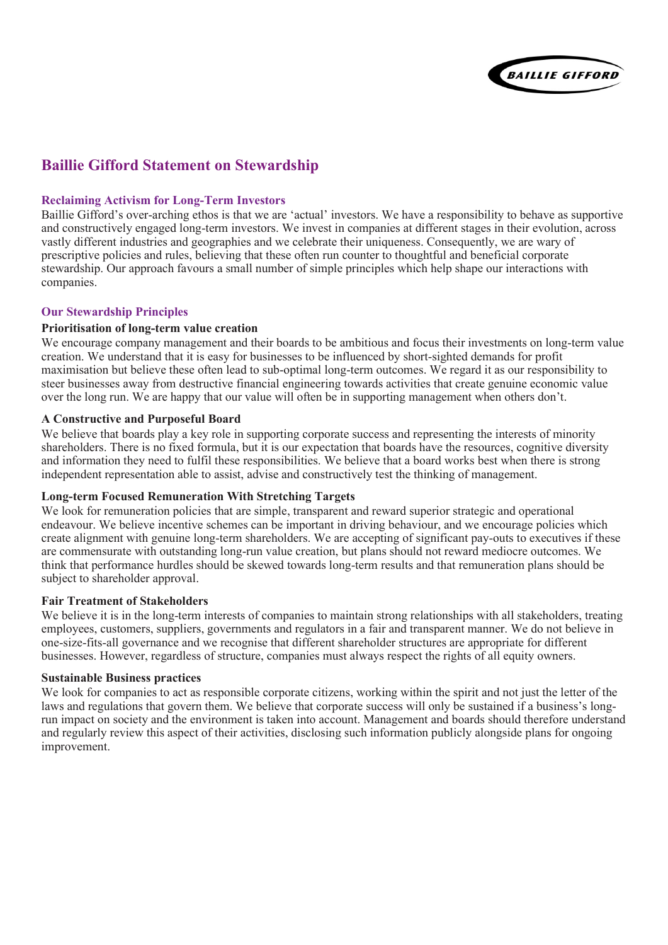

### **Baillie Gifford Statement on Stewardship**

#### **Reclaiming Activism for Long-Term Investors**

Baillie Gifford's over-arching ethos is that we are 'actual' investors. We have a responsibility to behave as supportive and constructively engaged long-term investors. We invest in companies at different stages in their evolution, across vastly different industries and geographies and we celebrate their uniqueness. Consequently, we are wary of prescriptive policies and rules, believing that these often run counter to thoughtful and beneficial corporate stewardship. Our approach favours a small number of simple principles which help shape our interactions with companies.

#### **Our Stewardship Principles**

#### **Prioritisation of long-term value creation**

We encourage company management and their boards to be ambitious and focus their investments on long-term value creation. We understand that it is easy for businesses to be influenced by short-sighted demands for profit maximisation but believe these often lead to sub-optimal long-term outcomes. We regard it as our responsibility to steer businesses away from destructive financial engineering towards activities that create genuine economic value over the long run. We are happy that our value will often be in supporting management when others don't.

#### **A Constructive and Purposeful Board**

We believe that boards play a key role in supporting corporate success and representing the interests of minority shareholders. There is no fixed formula, but it is our expectation that boards have the resources, cognitive diversity and information they need to fulfil these responsibilities. We believe that a board works best when there is strong independent representation able to assist, advise and constructively test the thinking of management.

#### **Long-term Focused Remuneration With Stretching Targets**

We look for remuneration policies that are simple, transparent and reward superior strategic and operational endeavour. We believe incentive schemes can be important in driving behaviour, and we encourage policies which create alignment with genuine long-term shareholders. We are accepting of significant pay-outs to executives if these are commensurate with outstanding long-run value creation, but plans should not reward mediocre outcomes. We think that performance hurdles should be skewed towards long-term results and that remuneration plans should be subject to shareholder approval.

#### **Fair Treatment of Stakeholders**

We believe it is in the long-term interests of companies to maintain strong relationships with all stakeholders, treating employees, customers, suppliers, governments and regulators in a fair and transparent manner. We do not believe in one-size-fits-all governance and we recognise that different shareholder structures are appropriate for different businesses. However, regardless of structure, companies must always respect the rights of all equity owners.

#### **Sustainable Business practices**

We look for companies to act as responsible corporate citizens, working within the spirit and not just the letter of the laws and regulations that govern them. We believe that corporate success will only be sustained if a business's longrun impact on society and the environment is taken into account. Management and boards should therefore understand and regularly review this aspect of their activities, disclosing such information publicly alongside plans for ongoing improvement.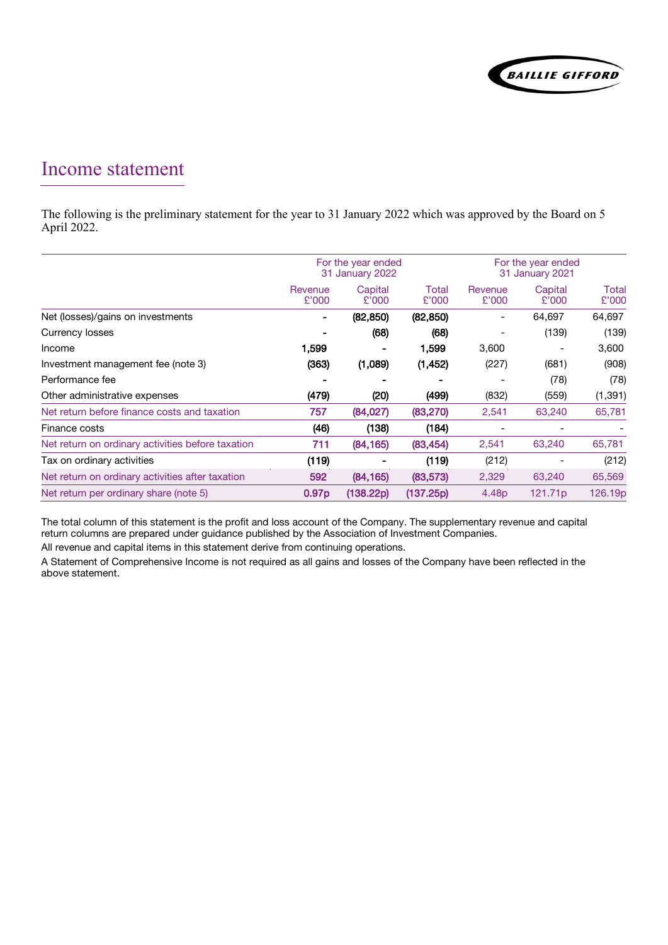

### Income statement

The following is the preliminary statement for the year to 31 January 2022 which was approved by the Board on 5 April 2022.

|                                                   | For the year ended<br>31 January 2022 |                  |                | For the year ended<br>31 January 2021 |                     |                |
|---------------------------------------------------|---------------------------------------|------------------|----------------|---------------------------------------|---------------------|----------------|
|                                                   | Revenue<br>£'000                      | Capital<br>£'000 | Total<br>£'000 | Revenue<br>£'000                      | Capital<br>£'000    | Total<br>£'000 |
| Net (losses)/gains on investments                 | ٠                                     | (82, 850)        | (82, 850)      |                                       | 64,697              | 64,697         |
| Currency losses                                   |                                       | (68)             | (68)           |                                       | (139)               | (139)          |
| Income                                            | 1,599                                 |                  | 1,599          | 3,600                                 |                     | 3,600          |
| Investment management fee (note 3)                | (363)                                 | (1,089)          | (1, 452)       | (227)                                 | (681)               | (908)          |
| Performance fee                                   |                                       |                  |                |                                       | (78)                | (78)           |
| Other administrative expenses                     | (479)                                 | (20)             | (499)          | (832)                                 | (559)               | (1, 391)       |
| Net return before finance costs and taxation      | 757                                   | (84,027)         | (83, 270)      | 2,541                                 | 63,240              | 65,781         |
| Finance costs                                     | (46)                                  | (138)            | (184)          |                                       |                     |                |
| Net return on ordinary activities before taxation | 711                                   | (84, 165)        | (83, 454)      | 2,541                                 | 63,240              | 65,781         |
| Tax on ordinary activities                        | (119)                                 |                  | (119)          | (212)                                 |                     | (212)          |
| Net return on ordinary activities after taxation  | 592                                   | (84, 165)        | (83, 573)      | 2,329                                 | 63,240              | 65,569         |
| Net return per ordinary share (note 5)            | 0.97 <sub>p</sub>                     | (138.22p)        | (137.25p)      | 4.48 <sub>p</sub>                     | 121.71 <sub>p</sub> | 126.19p        |

The total column of this statement is the profit and loss account of the Company. The supplementary revenue and capital return columns are prepared under guidance published by the Association of Investment Companies.

All revenue and capital items in this statement derive from continuing operations.

A Statement of Comprehensive Income is not required as all gains and losses of the Company have been reflected in the above statement.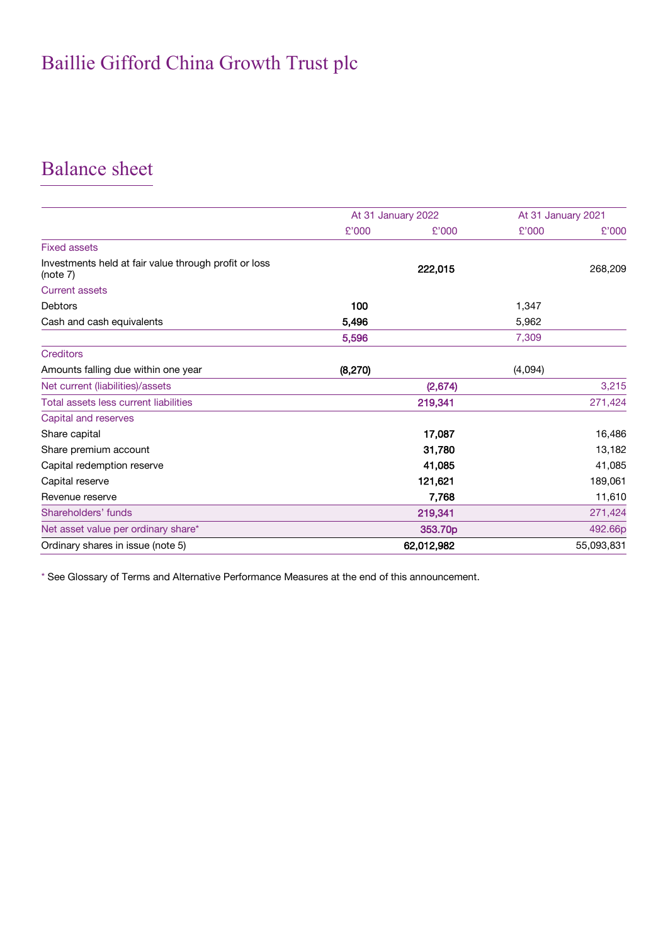## Balance sheet

|                                                                   | At 31 January 2022 |            |         | At 31 January 2021 |
|-------------------------------------------------------------------|--------------------|------------|---------|--------------------|
|                                                                   | £'000              | £'000      | £'000   | £'000              |
| <b>Fixed assets</b>                                               |                    |            |         |                    |
| Investments held at fair value through profit or loss<br>(note 7) |                    | 222,015    |         | 268,209            |
| <b>Current assets</b>                                             |                    |            |         |                    |
| <b>Debtors</b>                                                    | 100                |            | 1,347   |                    |
| Cash and cash equivalents                                         | 5,496              |            | 5,962   |                    |
|                                                                   | 5,596              |            | 7,309   |                    |
| <b>Creditors</b>                                                  |                    |            |         |                    |
| Amounts falling due within one year                               | (8, 270)           |            | (4,094) |                    |
| Net current (liabilities)/assets                                  |                    | (2,674)    |         | 3,215              |
| Total assets less current liabilities                             |                    | 219,341    |         | 271,424            |
| Capital and reserves                                              |                    |            |         |                    |
| Share capital                                                     |                    | 17,087     |         | 16,486             |
| Share premium account                                             |                    | 31,780     |         | 13,182             |
| Capital redemption reserve                                        |                    | 41,085     |         | 41,085             |
| Capital reserve                                                   |                    | 121,621    |         | 189,061            |
| Revenue reserve                                                   |                    | 7,768      |         | 11,610             |
| Shareholders' funds                                               |                    | 219,341    |         | 271,424            |
| Net asset value per ordinary share*                               |                    | 353.70p    |         | 492.66p            |
| Ordinary shares in issue (note 5)                                 |                    | 62,012,982 |         | 55,093,831         |

\* See Glossary of Terms and Alternative Performance Measures at the end of this announcement.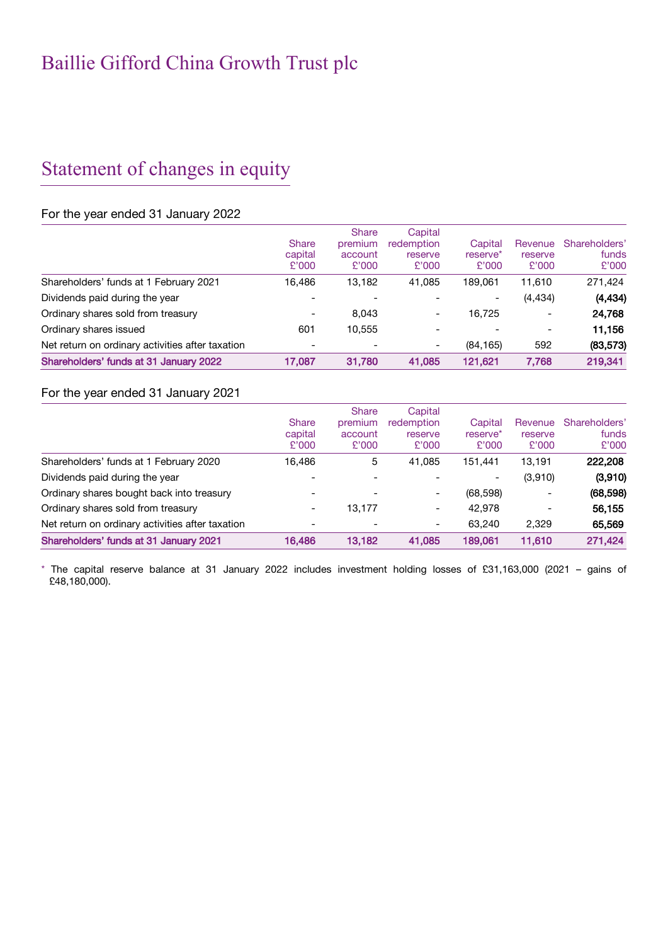## Statement of changes in equity

#### For the year ended 31 January 2022

|                                                  | <b>Share</b><br>capital<br>£'000 | <b>Share</b><br>premium<br>account<br>£'000 | Capital<br>redemption<br>reserve<br>£'000 | Capital<br>reserve <sup>*</sup><br>£'000 | Revenue<br>reserve<br>£'000 | Shareholders'<br>funds<br>£'000 |
|--------------------------------------------------|----------------------------------|---------------------------------------------|-------------------------------------------|------------------------------------------|-----------------------------|---------------------------------|
| Shareholders' funds at 1 February 2021           | 16.486                           | 13,182                                      | 41,085                                    | 189.061                                  | 11,610                      | 271,424                         |
| Dividends paid during the year                   |                                  |                                             |                                           | -                                        | (4, 434)                    | (4, 434)                        |
| Ordinary shares sold from treasury               | $\overline{\phantom{0}}$         | 8.043                                       | $\overline{\phantom{a}}$                  | 16.725                                   |                             | 24,768                          |
| Ordinary shares issued                           | 601                              | 10.555                                      |                                           |                                          |                             | 11,156                          |
| Net return on ordinary activities after taxation |                                  |                                             | $\overline{\phantom{a}}$                  | (84, 165)                                | 592                         | (83, 573)                       |
| Shareholders' funds at 31 January 2022           | 17,087                           | 31,780                                      | 41.085                                    | 121.621                                  | 7.768                       | 219,341                         |

#### For the year ended 31 January 2021

|                                                  | <b>Share</b><br>capital<br>£'000 | <b>Share</b><br>premium<br>account<br>£'000 | Capital<br>redemption<br>reserve<br>£'000 | Capital<br>reserve <sup>*</sup><br>£'000 | Revenue<br>reserve<br>£'000 | Shareholders'<br>funds<br>£'000 |
|--------------------------------------------------|----------------------------------|---------------------------------------------|-------------------------------------------|------------------------------------------|-----------------------------|---------------------------------|
| Shareholders' funds at 1 February 2020           | 16.486                           | 5                                           | 41,085                                    | 151.441                                  | 13,191                      | 222,208                         |
| Dividends paid during the year                   |                                  |                                             |                                           | ۰                                        | (3,910)                     | (3,910)                         |
| Ordinary shares bought back into treasury        |                                  |                                             | $\qquad \qquad \blacksquare$              | (68, 598)                                |                             | (68, 598)                       |
| Ordinary shares sold from treasury               | ۰                                | 13.177                                      | $\qquad \qquad -$                         | 42,978                                   |                             | 56.155                          |
| Net return on ordinary activities after taxation |                                  |                                             | $\qquad \qquad \blacksquare$              | 63.240                                   | 2,329                       | 65,569                          |
| Shareholders' funds at 31 January 2021           | 16,486                           | 13.182                                      | 41.085                                    | 189,061                                  | 11.610                      | 271,424                         |

\* The capital reserve balance at 31 January 2022 includes investment holding losses of £31,163,000 (2021 – gains of £48,180,000).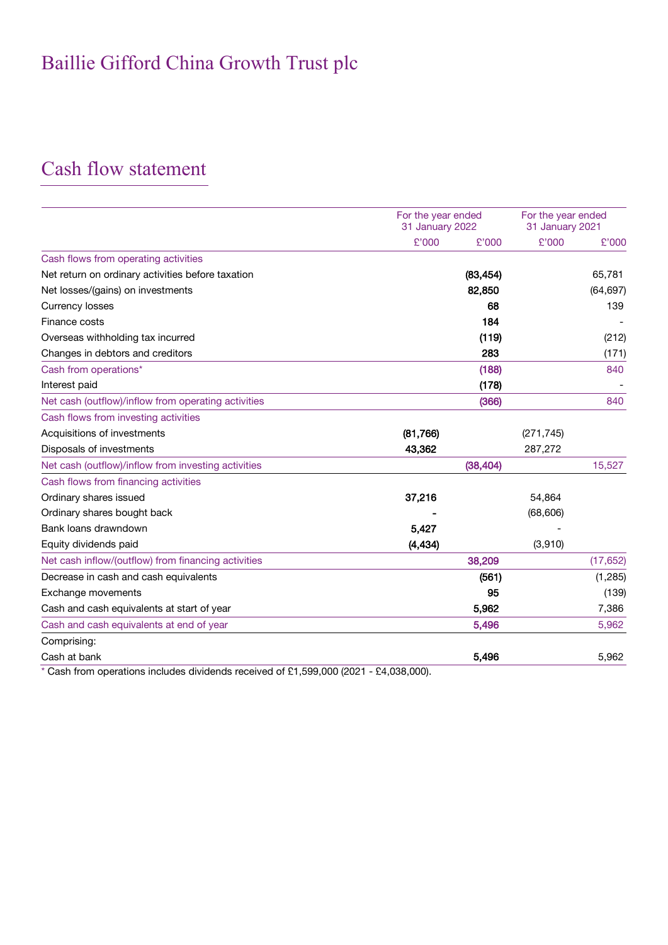## Cash flow statement

|                                                     |          | For the year ended<br>31 January 2022 |            | For the year ended<br>31 January 2021 |
|-----------------------------------------------------|----------|---------------------------------------|------------|---------------------------------------|
|                                                     | £'000    | £'000                                 | £'000      | £'000                                 |
| Cash flows from operating activities                |          |                                       |            |                                       |
| Net return on ordinary activities before taxation   |          | (83, 454)                             |            | 65,781                                |
| Net losses/(gains) on investments                   |          | 82,850                                |            | (64, 697)                             |
| <b>Currency losses</b>                              |          | 68                                    |            | 139                                   |
| Finance costs                                       |          | 184                                   |            |                                       |
| Overseas withholding tax incurred                   |          | (119)                                 |            | (212)                                 |
| Changes in debtors and creditors                    |          | 283                                   |            | (171)                                 |
| Cash from operations*                               |          | (188)                                 |            | 840                                   |
| Interest paid                                       |          | (178)                                 |            |                                       |
| Net cash (outflow)/inflow from operating activities |          | (366)                                 |            | 840                                   |
| Cash flows from investing activities                |          |                                       |            |                                       |
| Acquisitions of investments                         | (81,766) |                                       | (271, 745) |                                       |
| Disposals of investments                            | 43,362   |                                       | 287,272    |                                       |
| Net cash (outflow)/inflow from investing activities |          | (38, 404)                             |            | 15,527                                |
| Cash flows from financing activities                |          |                                       |            |                                       |
| Ordinary shares issued                              | 37,216   |                                       | 54,864     |                                       |
| Ordinary shares bought back                         |          |                                       | (68, 606)  |                                       |
| Bank loans drawndown                                | 5,427    |                                       |            |                                       |
| Equity dividends paid                               | (4, 434) |                                       | (3,910)    |                                       |
| Net cash inflow/(outflow) from financing activities |          | 38,209                                |            | (17, 652)                             |
| Decrease in cash and cash equivalents               |          | (561)                                 |            | (1,285)                               |
| Exchange movements                                  |          | 95                                    |            | (139)                                 |
| Cash and cash equivalents at start of year          |          | 5,962                                 |            | 7,386                                 |
| Cash and cash equivalents at end of year            |          | 5,496                                 |            | 5,962                                 |
| Comprising:                                         |          |                                       |            |                                       |
| Cash at bank                                        |          | 5,496                                 |            | 5,962                                 |

\* Cash from operations includes dividends received of £1,599,000 (2021 - £4,038,000).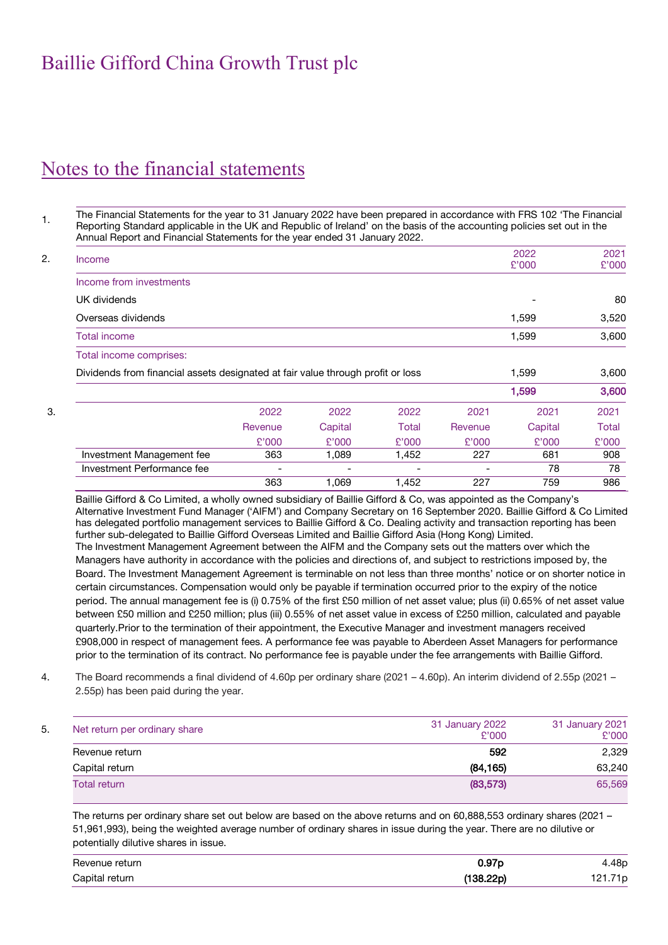## Notes to the financial statements

1. The Financial Statements for the year to 31 January 2022 have been prepared in accordance with FRS 102 'The Financial Reporting Standard applicable in the UK and Republic of Ireland' on the basis of the accounting policies set out in the Annual Report and Financial Statements for the year ended 31 January 2022.

| Income                                                                          |         |                          |       |         | 2022    | 2021  |
|---------------------------------------------------------------------------------|---------|--------------------------|-------|---------|---------|-------|
|                                                                                 |         |                          |       |         | £'000   | £'000 |
| Income from investments                                                         |         |                          |       |         |         |       |
| UK dividends                                                                    |         |                          |       |         |         | 80    |
| Overseas dividends                                                              |         |                          |       |         | 1,599   | 3,520 |
| Total income                                                                    |         |                          |       |         | 1,599   | 3,600 |
| Total income comprises:                                                         |         |                          |       |         |         |       |
| Dividends from financial assets designated at fair value through profit or loss |         |                          |       |         | 1,599   | 3,600 |
|                                                                                 |         |                          |       |         | 1,599   | 3,600 |
|                                                                                 | 2022    | 2022                     | 2022  | 2021    | 2021    | 2021  |
|                                                                                 | Revenue | Capital                  | Total | Revenue | Capital | Total |
|                                                                                 | £'000   | £'000                    | £'000 | £'000   | £'000   | £'000 |
| Investment Management fee                                                       | 363     | 1,089                    | 1,452 | 227     | 681     | 908   |
| Investment Performance fee                                                      | -       | $\overline{\phantom{a}}$ | ٠     |         | 78      | 78    |
|                                                                                 | 363     | 1,069                    | 1,452 | 227     | 759     | 986   |

Baillie Gifford & Co Limited, a wholly owned subsidiary of Baillie Gifford & Co, was appointed as the Company's Alternative Investment Fund Manager ('AIFM') and Company Secretary on 16 September 2020. Baillie Gifford & Co Limited has delegated portfolio management services to Baillie Gifford & Co. Dealing activity and transaction reporting has been further sub-delegated to Baillie Gifford Overseas Limited and Baillie Gifford Asia (Hong Kong) Limited. The Investment Management Agreement between the AIFM and the Company sets out the matters over which the Managers have authority in accordance with the policies and directions of, and subject to restrictions imposed by, the Board. The Investment Management Agreement is terminable on not less than three months' notice or on shorter notice in certain circumstances. Compensation would only be payable if termination occurred prior to the expiry of the notice period. The annual management fee is (i) 0.75% of the first £50 million of net asset value; plus (ii) 0.65% of net asset value between £50 million and £250 million; plus (iii) 0.55% of net asset value in excess of £250 million, calculated and payable quarterly.Prior to the termination of their appointment, the Executive Manager and investment managers received £908,000 in respect of management fees. A performance fee was payable to Aberdeen Asset Managers for performance prior to the termination of its contract. No performance fee is payable under the fee arrangements with Baillie Gifford.

4. The Board recommends a final dividend of 4.60p per ordinary share (2021 – 4.60p). An interim dividend of 2.55p (2021 – 2.55p) has been paid during the year.

| Net return per ordinary share | 31 January 2022<br>£'000 | 31 January 2021<br>£'000 |
|-------------------------------|--------------------------|--------------------------|
| Revenue return                | 592                      | 2,329                    |
| Capital return                | (84, 165)                | 63,240                   |
| <b>Total return</b>           | (83,573)                 | 65,569                   |

The returns per ordinary share set out below are based on the above returns and on 60,888,553 ordinary shares (2021 – 51,961,993), being the weighted average number of ordinary shares in issue during the year. There are no dilutive or potentially dilutive shares in issue.

| Revenue return | 07 <sub>n</sub><br>v. 97 p | 48p           |
|----------------|----------------------------|---------------|
| Capital return | $138.22$ p)                | 1 N<br>$-1.1$ |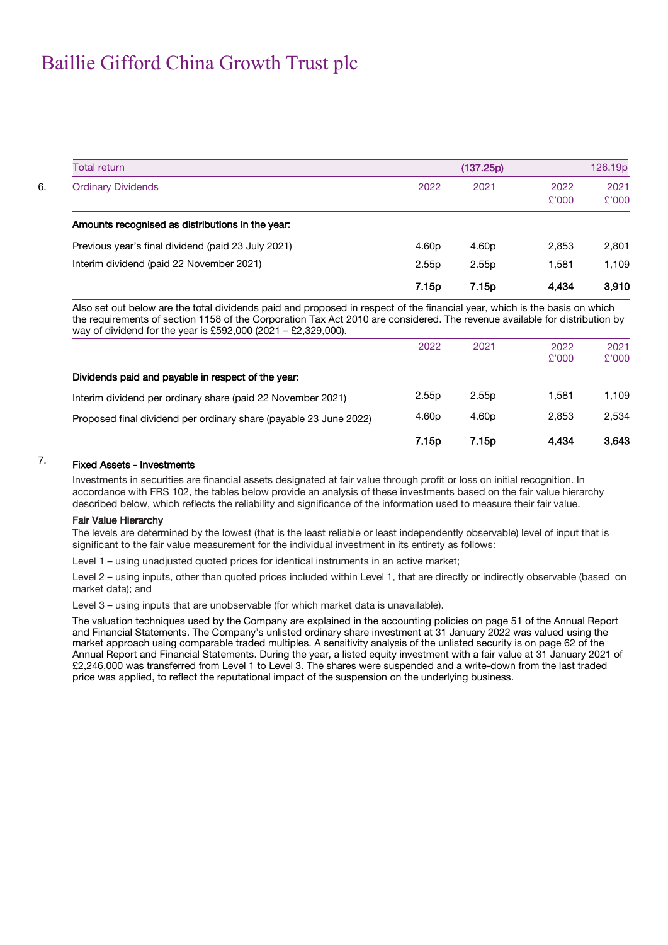| Total return                                       |                   | (137.25p)         |               | 126.19p       |
|----------------------------------------------------|-------------------|-------------------|---------------|---------------|
| <b>Ordinary Dividends</b>                          | 2022              | 2021              | 2022<br>£'000 | 2021<br>£'000 |
| Amounts recognised as distributions in the year:   |                   |                   |               |               |
| Previous year's final dividend (paid 23 July 2021) | 4.60 <sub>p</sub> | 4.60 <sub>p</sub> | 2,853         | 2,801         |
| Interim dividend (paid 22 November 2021)           | 2.55p             | 2.55 <sub>p</sub> | 1.581         | 1,109         |
|                                                    | 7.15 <sub>p</sub> | 7.15 <sub>p</sub> | 4.434         | 3.910         |

Also set out below are the total dividends paid and proposed in respect of the financial year, which is the basis on which the requirements of section 1158 of the Corporation Tax Act 2010 are considered. The revenue available for distribution by way of dividend for the year is £592,000 (2021 – £2,329,000).

|                                                                   | 7.15p             | 7.15p             | 4.434         | 3.643         |
|-------------------------------------------------------------------|-------------------|-------------------|---------------|---------------|
| Proposed final dividend per ordinary share (payable 23 June 2022) | 4.60 <sub>p</sub> | 4.60 <sub>p</sub> | 2.853         | 2.534         |
| Interim dividend per ordinary share (paid 22 November 2021)       | 2.55p             | 2.55 <sub>p</sub> | 1,581         | 1.109         |
| Dividends paid and payable in respect of the year:                |                   |                   |               |               |
|                                                                   | 2022              | 2021              | 2022<br>£'000 | 2021<br>£'000 |

### 7. Fixed Assets - Investments

Investments in securities are financial assets designated at fair value through profit or loss on initial recognition. In accordance with FRS 102, the tables below provide an analysis of these investments based on the fair value hierarchy described below, which reflects the reliability and significance of the information used to measure their fair value.

#### Fair Value Hierarchy

The levels are determined by the lowest (that is the least reliable or least independently observable) level of input that is significant to the fair value measurement for the individual investment in its entirety as follows:

Level 1 – using unadjusted quoted prices for identical instruments in an active market;

Level 2 – using inputs, other than quoted prices included within Level 1, that are directly or indirectly observable (based on market data); and

Level 3 – using inputs that are unobservable (for which market data is unavailable).

The valuation techniques used by the Company are explained in the accounting policies on page 51 of the Annual Report and Financial Statements. The Company's unlisted ordinary share investment at 31 January 2022 was valued using the market approach using comparable traded multiples. A sensitivity analysis of the unlisted security is on page 62 of the Annual Report and Financial Statements. During the year, a listed equity investment with a fair value at 31 January 2021 of £2,246,000 was transferred from Level 1 to Level 3. The shares were suspended and a write-down from the last traded price was applied, to reflect the reputational impact of the suspension on the underlying business.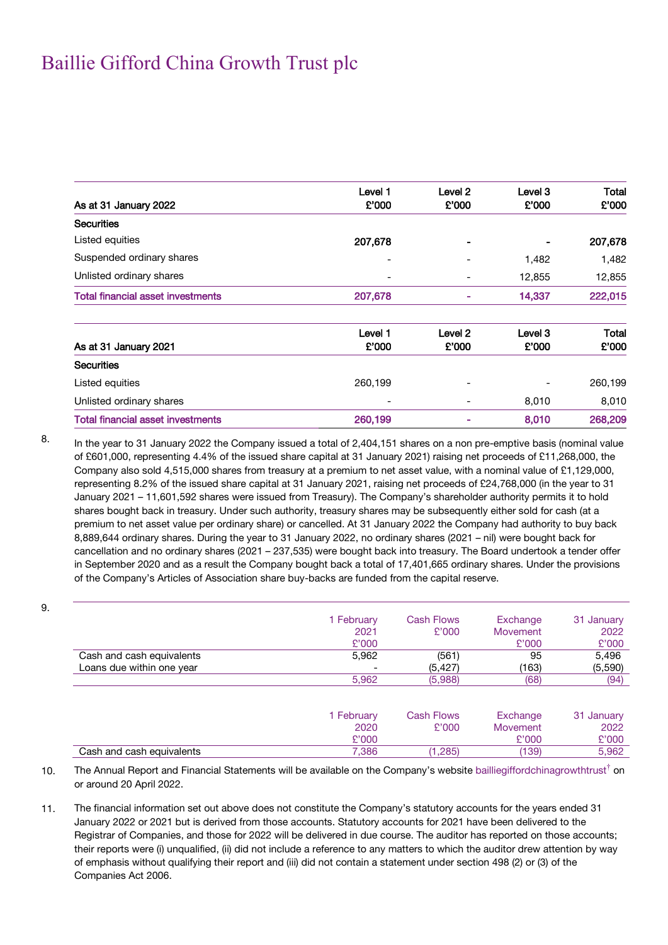|                                          | Level 1          | Level <sub>2</sub>          | Level 3          | Total          |
|------------------------------------------|------------------|-----------------------------|------------------|----------------|
| As at 31 January 2022                    | £'000            | £'000                       | £'000            | £'000          |
| <b>Securities</b>                        |                  |                             |                  |                |
| Listed equities                          | 207,678          |                             |                  | 207,678        |
| Suspended ordinary shares                | ۰                | -                           | 1,482            | 1,482          |
| Unlisted ordinary shares                 |                  | -                           | 12,855           | 12,855         |
| <b>Total financial asset investments</b> | 207,678          | ÷                           | 14,337           | 222,015        |
| As at 31 January 2021                    | Level 1<br>£'000 | Level <sub>2</sub><br>£'000 | Level 3<br>£'000 | Total<br>£'000 |
| <b>Securities</b>                        |                  |                             |                  |                |
| Listed equities                          | 260,199          |                             |                  | 260,199        |
| Unlisted ordinary shares                 | -                |                             | 8,010            | 8,010          |
| <b>Total financial asset investments</b> | 260,199          |                             | 8,010            | 268,209        |

9.

8. In the year to 31 January 2022 the Company issued a total of 2,404,151 shares on a non pre-emptive basis (nominal value of £601,000, representing 4.4% of the issued share capital at 31 January 2021) raising net proceeds of £11,268,000, the Company also sold 4,515,000 shares from treasury at a premium to net asset value, with a nominal value of £1,129,000, representing 8.2% of the issued share capital at 31 January 2021, raising net proceeds of £24,768,000 (in the year to 31 January 2021 – 11,601,592 shares were issued from Treasury). The Company's shareholder authority permits it to hold shares bought back in treasury. Under such authority, treasury shares may be subsequently either sold for cash (at a premium to net asset value per ordinary share) or cancelled. At 31 January 2022 the Company had authority to buy back 8,889,644 ordinary shares. During the year to 31 January 2022, no ordinary shares (2021 – nil) were bought back for cancellation and no ordinary shares (2021 – 237,535) were bought back into treasury. The Board undertook a tender offer in September 2020 and as a result the Company bought back a total of 17,401,665 ordinary shares. Under the provisions of the Company's Articles of Association share buy-backs are funded from the capital reserve.

|                           | 1 February | <b>Cash Flows</b> | Exchange        | 31 January |
|---------------------------|------------|-------------------|-----------------|------------|
|                           | 2021       | £'000             | <b>Movement</b> | 2022       |
|                           | £'000      |                   | £'000           | £'000      |
| Cash and cash equivalents | 5,962      | (561)             | 95              | 5,496      |
| Loans due within one year |            | (5, 427)          | (163)           | (5,590)    |
|                           | 5,962      | (5,988)           | (68)            | (94)       |
|                           | 1 February | <b>Cash Flows</b> | Exchange        | 31 January |
|                           | 2020       | £'000             | <b>Movement</b> | 2022       |
|                           | £'000      |                   | £'000           | £'000      |
| Cash and cash equivalents | 7,386      | (1,285)           | (139)           | 5,962      |

10. The Annual Report and Financial Statements will be available on the Company's website [bailliegiffordchinagrowthtrust](http://www.shinnippon.co.uk/) $^{\dagger}$  on or around 20 April 2022.

11. The financial information set out above does not constitute the Company's statutory accounts for the years ended 31 January 2022 or 2021 but is derived from those accounts. Statutory accounts for 2021 have been delivered to the Registrar of Companies, and those for 2022 will be delivered in due course. The auditor has reported on those accounts; their reports were (i) unqualified, (ii) did not include a reference to any matters to which the auditor drew attention by way of emphasis without qualifying their report and (iii) did not contain a statement under section 498 (2) or (3) of the Companies Act 2006.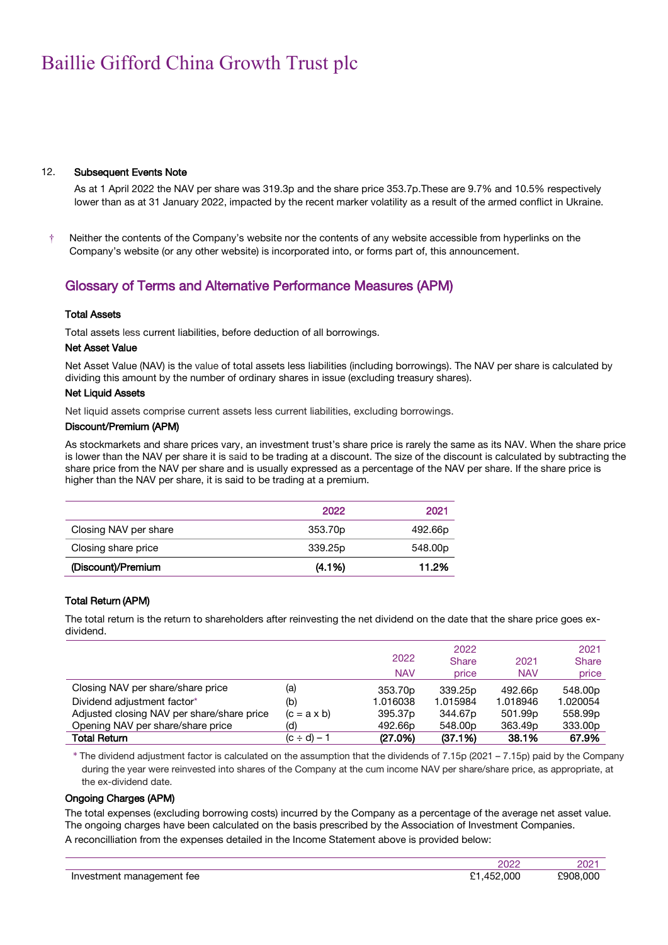#### 12. Subsequent Events Note

As at 1 April 2022 the NAV per share was 319.3p and the share price 353.7p.These are 9.7% and 10.5% respectively lower than as at 31 January 2022, impacted by the recent marker volatility as a result of the armed conflict in Ukraine.

† Neither the contents of the Company's website nor the contents of any website accessible from hyperlinks on the Company's website (or any other website) is incorporated into, or forms part of, this announcement.

#### Glossary of Terms and Alternative Performance Measures (APM)

#### Total Assets

Total assets less current liabilities, before deduction of all borrowings.

#### Net Asset Value

Net Asset Value (NAV) is the value of total assets less liabilities (including borrowings). The NAV per share is calculated by dividing this amount by the number of ordinary shares in issue (excluding treasury shares).

#### Net Liquid Assets

Net liquid assets comprise current assets less current liabilities, excluding borrowings.

#### Discount/Premium (APM)

As stockmarkets and share prices vary, an investment trust's share price is rarely the same as its NAV. When the share price is lower than the NAV per share it is said to be trading at a discount. The size of the discount is calculated by subtracting the share price from the NAV per share and is usually expressed as a percentage of the NAV per share. If the share price is higher than the NAV per share, it is said to be trading at a premium.

|                       | 2022      | 2021    |
|-----------------------|-----------|---------|
| Closing NAV per share | 353.70p   | 492.66p |
| Closing share price   | 339.25p   | 548.00p |
| (Discount)/Premium    | $(4.1\%)$ | 11.2%   |

#### Total Return (APM)

The total return is the return to shareholders after reinvesting the net dividend on the date that the share price goes exdividend.

|                                            |                    | 2022<br><b>NAV</b>  | 2022<br><b>Share</b><br>price | 2021<br><b>NAV</b>  | 2021<br><b>Share</b><br>price |
|--------------------------------------------|--------------------|---------------------|-------------------------------|---------------------|-------------------------------|
| Closing NAV per share/share price          | (a)                | 353.70p             | 339.25 <sub>p</sub>           | 492.66 <sub>p</sub> | 548.00p                       |
| Dividend adjustment factor*                | (b)                | 1.016038            | 1.015984                      | 1.018946            | 1.020054                      |
| Adjusted closing NAV per share/share price | $(c = a \times b)$ | 395.37 <sub>p</sub> | 344.67p                       | 501.99p             | 558.99 <sub>p</sub>           |
| Opening NAV per share/share price          | (d)                | 492.66p             | 548.00p                       | 363.49p             | 333.00p                       |
| <b>Total Return</b>                        | $(c \div d) - 1$   | (27.0%)             | (37.1%)                       | 38.1%               | 67.9%                         |

\* The dividend adjustment factor is calculated on the assumption that the dividends of 7.15p (2021 – 7.15p) paid by the Company during the year were reinvested into shares of the Company at the cum income NAV per share/share price, as appropriate, at the ex-dividend date.

#### Ongoing Charges (APM)

The total expenses (excluding borrowing costs) incurred by the Company as a percentage of the average net asset value. The ongoing charges have been calculated on the basis prescribed by the Association of Investment Companies. A reconcilliation from the expenses detailed in the Income Statement above is provided below:

|                                      | 2022              | $\sim$ $\sim$<br>,,<br>SUZ. |
|--------------------------------------|-------------------|-----------------------------|
| Investment<br>management fee<br>$ -$ | 000<br>$\sqrt{2}$ | £908.000                    |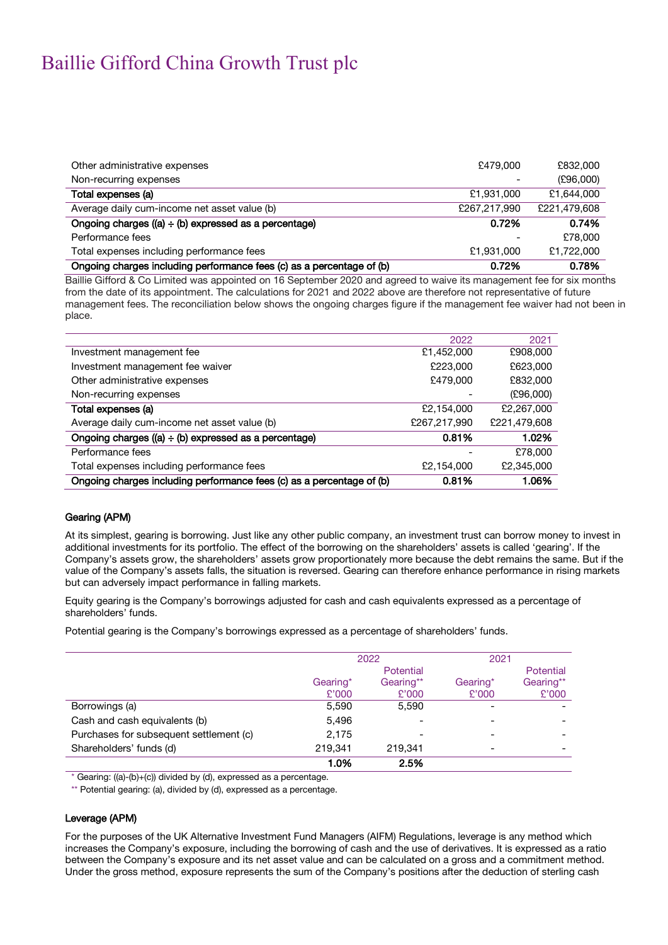| Other administrative expenses                                         | £479,000     | £832,000     |
|-----------------------------------------------------------------------|--------------|--------------|
| Non-recurring expenses                                                |              | (E96,000)    |
| Total expenses (a)                                                    | £1,931,000   | £1,644,000   |
| Average daily cum-income net asset value (b)                          | £267.217.990 | £221.479.608 |
| Ongoing charges ((a) $\div$ (b) expressed as a percentage)            | 0.72%        | 0.74%        |
| Performance fees                                                      |              | £78,000      |
| Total expenses including performance fees                             | £1,931,000   | £1,722,000   |
| Ongoing charges including performance fees (c) as a percentage of (b) | 0.72%        | 0.78%        |

Baillie Gifford & Co Limited was appointed on 16 September 2020 and agreed to waive its management fee for six months from the date of its appointment. The calculations for 2021 and 2022 above are therefore not representative of future management fees. The reconciliation below shows the ongoing charges figure if the management fee waiver had not been in place.

|                                                                       | 2022         | 2021         |
|-----------------------------------------------------------------------|--------------|--------------|
| Investment management fee                                             | £1,452,000   | £908,000     |
| Investment management fee waiver                                      | £223,000     | £623,000     |
| Other administrative expenses                                         | £479,000     | £832,000     |
| Non-recurring expenses                                                |              | (E96,000)    |
| Total expenses (a)                                                    | £2,154,000   | £2,267,000   |
| Average daily cum-income net asset value (b)                          | £267,217,990 | £221,479,608 |
| Ongoing charges ((a) $\div$ (b) expressed as a percentage)            | 0.81%        | 1.02%        |
| Performance fees                                                      |              | £78,000      |
| Total expenses including performance fees                             | £2,154,000   | £2,345,000   |
| Ongoing charges including performance fees (c) as a percentage of (b) | 0.81%        | 1.06%        |

#### Gearing (APM)

At its simplest, gearing is borrowing. Just like any other public company, an investment trust can borrow money to invest in additional investments for its portfolio. The effect of the borrowing on the shareholders' assets is called 'gearing'. If the Company's assets grow, the shareholders' assets grow proportionately more because the debt remains the same. But if the value of the Company's assets falls, the situation is reversed. Gearing can therefore enhance performance in rising markets but can adversely impact performance in falling markets.

Equity gearing is the Company's borrowings adjusted for cash and cash equivalents expressed as a percentage of shareholders' funds.

Potential gearing is the Company's borrowings expressed as a percentage of shareholders' funds.

|                                         | 2022      |                          | 2021     |           |
|-----------------------------------------|-----------|--------------------------|----------|-----------|
|                                         | Potential |                          |          | Potential |
|                                         | Gearing*  | Gearing**                | Gearing* | Gearing** |
|                                         | £'000     | £'000                    | £'000    | £'000     |
| Borrowings (a)                          | 5,590     | 5.590                    |          |           |
| Cash and cash equivalents (b)           | 5,496     | $\overline{\phantom{0}}$ |          |           |
| Purchases for subsequent settlement (c) | 2,175     |                          |          |           |
| Shareholders' funds (d)                 | 219.341   | 219.341                  |          |           |
|                                         | 1.0%      | 2.5%                     |          |           |

\* Gearing: ((a)-(b)+(c)) divided by (d), expressed as a percentage.

\*\* Potential gearing: (a), divided by (d), expressed as a percentage.

#### Leverage (APM)

For the purposes of the UK Alternative Investment Fund Managers (AIFM) Regulations, leverage is any method which increases the Company's exposure, including the borrowing of cash and the use of derivatives. It is expressed as a ratio between the Company's exposure and its net asset value and can be calculated on a gross and a commitment method. Under the gross method, exposure represents the sum of the Company's positions after the deduction of sterling cash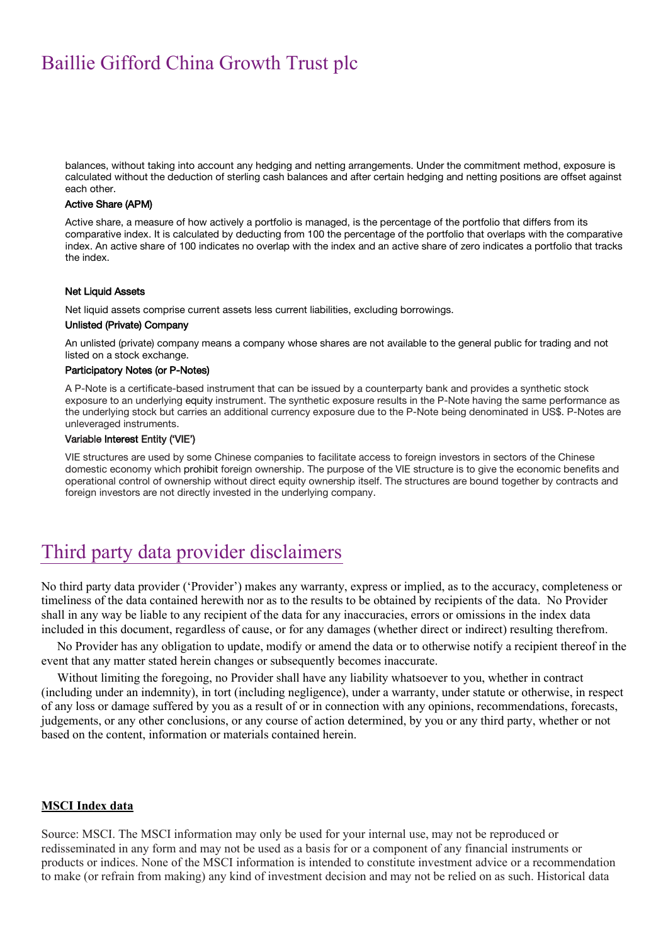balances, without taking into account any hedging and netting arrangements. Under the commitment method, exposure is calculated without the deduction of sterling cash balances and after certain hedging and netting positions are offset against each other.

#### Active Share (APM)

Active share, a measure of how actively a portfolio is managed, is the percentage of the portfolio that differs from its comparative index. It is calculated by deducting from 100 the percentage of the portfolio that overlaps with the comparative index. An active share of 100 indicates no overlap with the index and an active share of zero indicates a portfolio that tracks the index.

#### Net Liquid Assets

Net liquid assets comprise current assets less current liabilities, excluding borrowings.

#### Unlisted (Private) Company

An unlisted (private) company means a company whose shares are not available to the general public for trading and not listed on a stock exchange.

#### Participatory Notes (or P-Notes)

A P-Note is a certificate-based instrument that can be issued by a counterparty bank and provides a synthetic stock exposure to an underlying equity instrument. The synthetic exposure results in the P-Note having the same performance as the underlying stock but carries an additional currency exposure due to the P-Note being denominated in US\$. P-Notes are unleveraged instruments.

#### Variable Interest Entity ('VIE')

VIE structures are used by some Chinese companies to facilitate access to foreign investors in sectors of the Chinese domestic economy which prohibit foreign ownership. The purpose of the VIE structure is to give the economic benefits and operational control of ownership without direct equity ownership itself. The structures are bound together by contracts and foreign investors are not directly invested in the underlying company.

## Third party data provider disclaimers

No third party data provider ('Provider') makes any warranty, express or implied, as to the accuracy, completeness or timeliness of the data contained herewith nor as to the results to be obtained by recipients of the data. No Provider shall in any way be liable to any recipient of the data for any inaccuracies, errors or omissions in the index data included in this document, regardless of cause, or for any damages (whether direct or indirect) resulting therefrom.

No Provider has any obligation to update, modify or amend the data or to otherwise notify a recipient thereof in the event that any matter stated herein changes or subsequently becomes inaccurate.

Without limiting the foregoing, no Provider shall have any liability whatsoever to you, whether in contract (including under an indemnity), in tort (including negligence), under a warranty, under statute or otherwise, in respect of any loss or damage suffered by you as a result of or in connection with any opinions, recommendations, forecasts, judgements, or any other conclusions, or any course of action determined, by you or any third party, whether or not based on the content, information or materials contained herein.

#### **MSCI Index data**

Source: MSCI. The MSCI information may only be used for your internal use, may not be reproduced or redisseminated in any form and may not be used as a basis for or a component of any financial instruments or products or indices. None of the MSCI information is intended to constitute investment advice or a recommendation to make (or refrain from making) any kind of investment decision and may not be relied on as such. Historical data